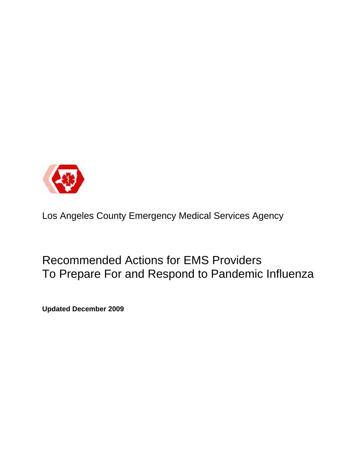

Los Angeles County Emergency Medical Services Agency

Recommended Actions for EMS Providers To Prepare For and Respond to Pandemic Influenza

**Updated December 2009**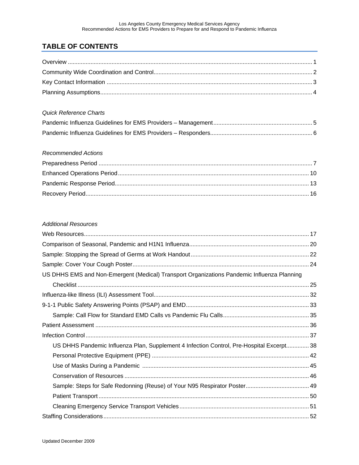# **TABLE OF CONTENTS**

#### Quick Reference Charts

#### **Recommended Actions**

#### **Additional Resources**

| US DHHS EMS and Non-Emergent (Medical) Transport Organizations Pandemic Influenza Planning |
|--------------------------------------------------------------------------------------------|
|                                                                                            |
|                                                                                            |
|                                                                                            |
|                                                                                            |
|                                                                                            |
|                                                                                            |
| US DHHS Pandemic Influenza Plan, Supplement 4 Infection Control, Pre-Hospital Excerpt 38   |
|                                                                                            |
|                                                                                            |
|                                                                                            |
| Sample: Steps for Safe Redonning (Reuse) of Your N95 Respirator Poster 49                  |
|                                                                                            |
|                                                                                            |
|                                                                                            |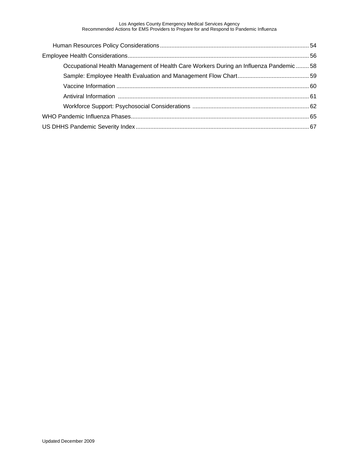Los Angeles County Emergency Medical Services Agency Recommended Actions for EMS Providers to Prepare for and Respond to Pandemic Influenza

| Occupational Health Management of Health Care Workers During an Influenza Pandemic  58 |  |
|----------------------------------------------------------------------------------------|--|
|                                                                                        |  |
|                                                                                        |  |
|                                                                                        |  |
|                                                                                        |  |
|                                                                                        |  |
|                                                                                        |  |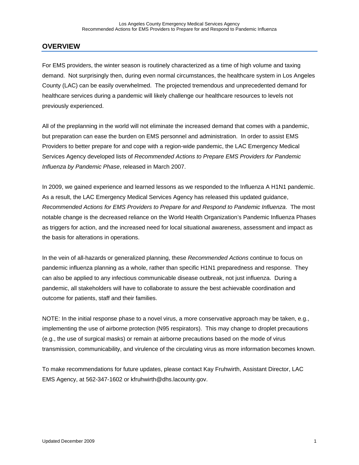### **OVERVIEW**

For EMS providers, the winter season is routinely characterized as a time of high volume and taxing demand. Not surprisingly then, during even normal circumstances, the healthcare system in Los Angeles County (LAC) can be easily overwhelmed. The projected tremendous and unprecedented demand for healthcare services during a pandemic will likely challenge our healthcare resources to levels not previously experienced.

All of the preplanning in the world will not eliminate the increased demand that comes with a pandemic, but preparation can ease the burden on EMS personnel and administration. In order to assist EMS Providers to better prepare for and cope with a region-wide pandemic, the LAC Emergency Medical Services Agency developed lists of *Recommended Actions to Prepare EMS Providers for Pandemic Influenza by Pandemic Phase*, released in March 2007.

In 2009, we gained experience and learned lessons as we responded to the Influenza A H1N1 pandemic. As a result, the LAC Emergency Medical Services Agency has released this updated guidance, *Recommended Actions for EMS Providers to Prepare for and Respond to Pandemic Influenza*. The most notable change is the decreased reliance on the World Health Organization's Pandemic Influenza Phases as triggers for action, and the increased need for local situational awareness, assessment and impact as the basis for alterations in operations.

In the vein of all-hazards or generalized planning, these *Recommended Actions* continue to focus on pandemic influenza planning as a whole, rather than specific H1N1 preparedness and response. They can also be applied to any infectious communicable disease outbreak, not just influenza. During a pandemic, all stakeholders will have to collaborate to assure the best achievable coordination and outcome for patients, staff and their families.

NOTE: In the initial response phase to a novel virus, a more conservative approach may be taken, e.g., implementing the use of airborne protection (N95 respirators). This may change to droplet precautions (e.g., the use of surgical masks) or remain at airborne precautions based on the mode of virus transmission, communicability, and virulence of the circulating virus as more information becomes known.

To make recommendations for future updates, please contact Kay Fruhwirth, Assistant Director, LAC EMS Agency, at 562-347-1602 or kfruhwirth@dhs.lacounty.gov.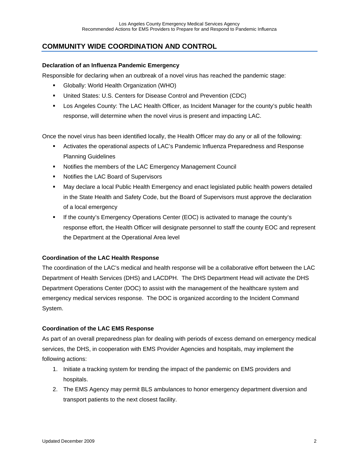# **COMMUNITY WIDE COORDINATION AND CONTROL**

#### **Declaration of an Influenza Pandemic Emergency**

Responsible for declaring when an outbreak of a novel virus has reached the pandemic stage:

- Globally: World Health Organization (WHO)
- United States: U.S. Centers for Disease Control and Prevention (CDC)
- **EXECT Angeles County: The LAC Health Officer, as Incident Manager for the county's public health** response, will determine when the novel virus is present and impacting LAC.

Once the novel virus has been identified locally, the Health Officer may do any or all of the following:

- Activates the operational aspects of LAC's Pandemic Influenza Preparedness and Response Planning Guidelines
- Notifies the members of the LAC Emergency Management Council
- **Notifies the LAC Board of Supervisors**
- May declare a local Public Health Emergency and enact legislated public health powers detailed in the State Health and Safety Code, but the Board of Supervisors must approve the declaration of a local emergency
- **If the county's Emergency Operations Center (EOC) is activated to manage the county's** response effort, the Health Officer will designate personnel to staff the county EOC and represent the Department at the Operational Area level

#### **Coordination of the LAC Health Response**

The coordination of the LAC's medical and health response will be a collaborative effort between the LAC Department of Health Services (DHS) and LACDPH. The DHS Department Head will activate the DHS Department Operations Center (DOC) to assist with the management of the healthcare system and emergency medical services response. The DOC is organized according to the Incident Command System.

#### **Coordination of the LAC EMS Response**

As part of an overall preparedness plan for dealing with periods of excess demand on emergency medical services, the DHS, in cooperation with EMS Provider Agencies and hospitals, may implement the following actions:

- 1. Initiate a tracking system for trending the impact of the pandemic on EMS providers and hospitals.
- 2. The EMS Agency may permit BLS ambulances to honor emergency department diversion and transport patients to the next closest facility.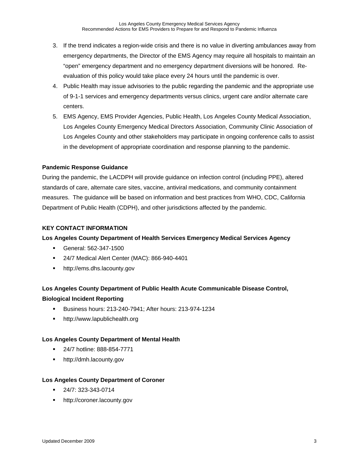- 3. If the trend indicates a region-wide crisis and there is no value in diverting ambulances away from emergency departments, the Director of the EMS Agency may require all hospitals to maintain an "open" emergency department and no emergency department diversions will be honored. Reevaluation of this policy would take place every 24 hours until the pandemic is over.
- 4. Public Health may issue advisories to the public regarding the pandemic and the appropriate use of 9-1-1 services and emergency departments versus clinics, urgent care and/or alternate care centers.
- 5. EMS Agency, EMS Provider Agencies, Public Health, Los Angeles County Medical Association, Los Angeles County Emergency Medical Directors Association, Community Clinic Association of Los Angeles County and other stakeholders may participate in ongoing conference calls to assist in the development of appropriate coordination and response planning to the pandemic.

#### **Pandemic Response Guidance**

During the pandemic, the LACDPH will provide guidance on infection control (including PPE), altered standards of care, alternate care sites, vaccine, antiviral medications, and community containment measures. The guidance will be based on information and best practices from WHO, CDC, California Department of Public Health (CDPH), and other jurisdictions affected by the pandemic.

#### **KEY CONTACT INFORMATION**

#### **Los Angeles County Department of Health Services Emergency Medical Services Agency**

- General: 562-347-1500
- 24/7 Medical Alert Center (MAC): 866-940-4401
- **http://ems.dhs.lacounty.gov**

# **Los Angeles County Department of Public Health Acute Communicable Disease Control, Biological Incident Reporting**

- Business hours: 213-240-7941; After hours: 213-974-1234
- **http://www.lapublichealth.org**

#### **Los Angeles County Department of Mental Health**

- 24/7 hotline: 888-854-7771
- http://dmh.lacounty.gov

#### **Los Angeles County Department of Coroner**

- 24/7: 323-343-0714
- http://coroner.lacounty.gov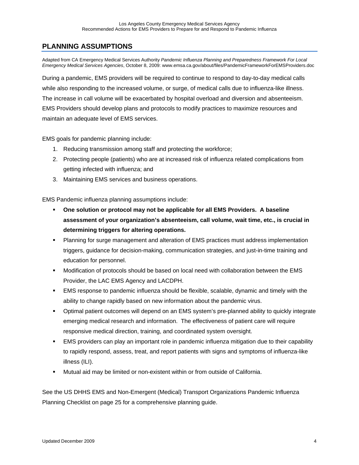## **PLANNING ASSUMPTIONS**

Adapted from CA Emergency Medical Services Authority *Pandemic Influenza Planning and Preparedness Framework For Local Emergency Medical Services Agencies*, October 8, 2009: www.emsa.ca.gov/about/files/PandemicFrameworkForEMSProviders.doc

During a pandemic, EMS providers will be required to continue to respond to day-to-day medical calls while also responding to the increased volume, or surge, of medical calls due to influenza-like illness. The increase in call volume will be exacerbated by hospital overload and diversion and absenteeism. EMS Providers should develop plans and protocols to modify practices to maximize resources and maintain an adequate level of EMS services.

EMS goals for pandemic planning include:

- 1. Reducing transmission among staff and protecting the workforce;
- 2. Protecting people (patients) who are at increased risk of influenza related complications from getting infected with influenza; and
- 3. Maintaining EMS services and business operations.

EMS Pandemic influenza planning assumptions include:

- **One solution or protocol may not be applicable for all EMS Providers. A baseline assessment of your organization's absenteeism, call volume, wait time, etc., is crucial in determining triggers for altering operations.**
- Planning for surge management and alteration of EMS practices must address implementation triggers, guidance for decision-making, communication strategies, and just-in-time training and education for personnel.
- Modification of protocols should be based on local need with collaboration between the EMS Provider, the LAC EMS Agency and LACDPH.
- EMS response to pandemic influenza should be flexible, scalable, dynamic and timely with the ability to change rapidly based on new information about the pandemic virus.
- Optimal patient outcomes will depend on an EMS system's pre-planned ability to quickly integrate emerging medical research and information. The effectiveness of patient care will require responsive medical direction, training, and coordinated system oversight.
- EMS providers can play an important role in pandemic influenza mitigation due to their capability to rapidly respond, assess, treat, and report patients with signs and symptoms of influenza-like illness (ILI).
- Mutual aid may be limited or non-existent within or from outside of California.

See the US DHHS EMS and Non-Emergent (Medical) Transport Organizations Pandemic Influenza Planning Checklist on page 25 for a comprehensive planning guide.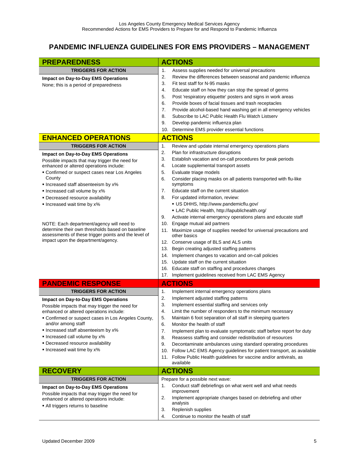# **PANDEMIC INFLUENZA GUIDELINES FOR EMS PROVIDERS – MANAGEMENT**

| <b>PREPAREDNESS</b>                                                                                      | <b>ACTIONS</b>                                                                                                                         |
|----------------------------------------------------------------------------------------------------------|----------------------------------------------------------------------------------------------------------------------------------------|
| <b>TRIGGERS FOR ACTION</b>                                                                               | 1.<br>Assess supplies needed for universal precautions                                                                                 |
|                                                                                                          | 2.<br>Review the differences between seasonal and pandemic influenza                                                                   |
| <b>Impact on Day-to-Day EMS Operations</b>                                                               | 3.<br>Fit test staff for N-95 masks                                                                                                    |
| None; this is a period of preparedness                                                                   | 4.<br>Educate staff on how they can stop the spread of germs                                                                           |
|                                                                                                          | 5.<br>Post 'respiratory etiquette' posters and signs in work areas                                                                     |
|                                                                                                          | Provide boxes of facial tissues and trash receptacles<br>6.                                                                            |
|                                                                                                          | 7.<br>Provide alcohol-based hand washing gel in all emergency vehicles                                                                 |
|                                                                                                          | Subscribe to LAC Public Health Flu Watch Listserv<br>8.                                                                                |
|                                                                                                          | 9.<br>Develop pandemic influenza plan                                                                                                  |
|                                                                                                          | Determine EMS provider essential functions<br>10.                                                                                      |
| <b>ENHANCED OPERATIONS</b>                                                                               | <b>ACTIONS</b>                                                                                                                         |
| <b>TRIGGERS FOR ACTION</b>                                                                               | 1.<br>Review and update internal emergency operations plans                                                                            |
| <b>Impact on Day-to-Day EMS Operations</b>                                                               | Plan for infrastructure disruptions<br>2.                                                                                              |
| Possible impacts that may trigger the need for                                                           | 3.<br>Establish vacation and on-call procedures for peak periods                                                                       |
| enhanced or altered operations include:                                                                  | 4.<br>Locate supplemental transport assets                                                                                             |
| • Confirmed or suspect cases near Los Angeles                                                            | 5.<br>Evaluate triage models                                                                                                           |
| County<br>Increased staff absenteeism by x%                                                              | Consider placing masks on all patients transported with flu-like<br>6.<br>symptoms                                                     |
| Increased call volume by x%                                                                              | Educate staff on the current situation<br>7.                                                                                           |
| • Decreased resource availability                                                                        | 8.<br>For updated information, review:                                                                                                 |
| Increased wait time by x%                                                                                | • US DHHS, http://www.pandemicflu.gov/                                                                                                 |
|                                                                                                          | . LAC Public Health, http://lapublichealth.org/                                                                                        |
|                                                                                                          | 9.<br>Activate internal emergency operations plans and educate staff                                                                   |
| NOTE: Each department/agency will need to                                                                | 10.<br>Engage mutual aid partners                                                                                                      |
| determine their own thresholds based on baseline<br>assessments of these trigger points and the level of | 11. Maximize usage of supplies needed for universal precautions and<br>other basics                                                    |
| impact upon the department/agency.                                                                       | 12. Conserve usage of BLS and ALS units                                                                                                |
|                                                                                                          | Begin creating adjusted staffing patterns<br>13.                                                                                       |
|                                                                                                          | Implement changes to vacation and on-call policies<br>14.                                                                              |
|                                                                                                          | Update staff on the current situation<br>15.                                                                                           |
|                                                                                                          | 16. Educate staff on staffing and procedures changes                                                                                   |
|                                                                                                          | Implement guidelines received from LAC EMS Agency<br>17.                                                                               |
| <b>PANDEMIC RESPONSE</b>                                                                                 | <b>ACTIONS</b>                                                                                                                         |
| <b>TRIGGERS FOR ACTION</b>                                                                               | 1.<br>Implement internal emergency operations plans                                                                                    |
| <b>Impact on Day-to-Day EMS Operations</b>                                                               | 2.<br>Implement adjusted staffing patterns                                                                                             |
| Possible impacts that may trigger the need for                                                           | 3.<br>Implement essential staffing and services only                                                                                   |
| enhanced or altered operations include:                                                                  | 4.<br>Limit the number of responders to the minimum necessary                                                                          |
| • Confirmed or suspect cases in Los Angeles County,                                                      | 5.<br>Maintain 6 foot separation of all staff in sleeping quarters                                                                     |
| and/or among staff                                                                                       | 6.<br>Monitor the health of staff                                                                                                      |
| Increased staff absenteeism by x%<br>Increased call volume by x%                                         | 7.<br>Implement plan to evaluate symptomatic staff before report for duty                                                              |
| • Decreased resource availability                                                                        | Reassess staffing and consider redistribution of resources<br>8.<br>9.<br>Decontaminate ambulances using standard operating procedures |
| Increased wait time by x%                                                                                | Follow LAC EMS Agency guidelines for patient transport, as available<br>10.                                                            |
|                                                                                                          | Follow Public Health guidelines for vaccine and/or antivirals, as<br>11.                                                               |
|                                                                                                          | available                                                                                                                              |
| <b>RECOVERY</b>                                                                                          | <b>ACTIONS</b>                                                                                                                         |
| <b>TRIGGERS FOR ACTION</b>                                                                               | Prepare for a possible next wave:                                                                                                      |
| <b>Impact on Day-to-Day EMS Operations</b>                                                               | Conduct staff debriefings on what went well and what needs<br>1.                                                                       |
| Possible impacts that may trigger the need for                                                           | improvement                                                                                                                            |
| enhanced or altered operations include:                                                                  | 2.<br>Implement appropriate changes based on debriefing and other<br>analysis                                                          |
| • All triggers returns to baseline                                                                       | Replenish supplies<br>3.                                                                                                               |
|                                                                                                          | Continue to monitor the health of staff<br>4.                                                                                          |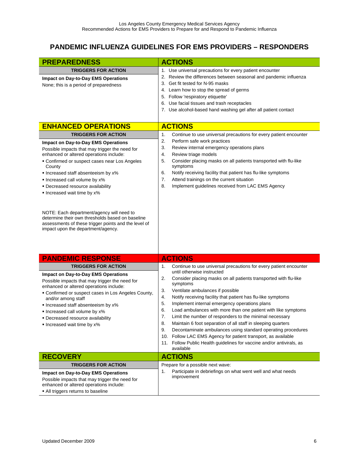# **PANDEMIC INFLUENZA GUIDELINES FOR EMS PROVIDERS – RESPONDERS**

| <b>PREPAREDNESS</b>                                                                                                                                                                                                                                                                                                                                                                                                                                                                                                                       | <b>ACTIONS</b>                                                                                                                                                                                                                                                                                                                                                                                                                                                                                                                                                                                                                                                                                                                        |
|-------------------------------------------------------------------------------------------------------------------------------------------------------------------------------------------------------------------------------------------------------------------------------------------------------------------------------------------------------------------------------------------------------------------------------------------------------------------------------------------------------------------------------------------|---------------------------------------------------------------------------------------------------------------------------------------------------------------------------------------------------------------------------------------------------------------------------------------------------------------------------------------------------------------------------------------------------------------------------------------------------------------------------------------------------------------------------------------------------------------------------------------------------------------------------------------------------------------------------------------------------------------------------------------|
| <b>TRIGGERS FOR ACTION</b>                                                                                                                                                                                                                                                                                                                                                                                                                                                                                                                | 1. Use universal precautions for every patient encounter                                                                                                                                                                                                                                                                                                                                                                                                                                                                                                                                                                                                                                                                              |
| <b>Impact on Day-to-Day EMS Operations</b><br>None; this is a period of preparedness                                                                                                                                                                                                                                                                                                                                                                                                                                                      | 2. Review the differences between seasonal and pandemic influenza<br>3. Get fit tested for N-95 masks<br>4. Learn how to stop the spread of germs<br>5. Follow 'respiratory etiquette'<br>6. Use facial tissues and trash receptacles<br>7. Use alcohol-based hand washing gel after all patient contact                                                                                                                                                                                                                                                                                                                                                                                                                              |
| <b>ENHANCED OPERATIONS</b>                                                                                                                                                                                                                                                                                                                                                                                                                                                                                                                | <b>ACTIONS</b>                                                                                                                                                                                                                                                                                                                                                                                                                                                                                                                                                                                                                                                                                                                        |
| <b>TRIGGERS FOR ACTION</b>                                                                                                                                                                                                                                                                                                                                                                                                                                                                                                                | 1.<br>Continue to use universal precautions for every patient encounter                                                                                                                                                                                                                                                                                                                                                                                                                                                                                                                                                                                                                                                               |
| <b>Impact on Day-to-Day EMS Operations</b><br>Possible impacts that may trigger the need for<br>enhanced or altered operations include:<br>• Confirmed or suspect cases near Los Angeles<br>County<br>Increased staff absenteeism by x%<br>. Increased call volume by x%<br>• Decreased resource availability<br>Increased wait time by x%<br>NOTE: Each department/agency will need to<br>determine their own thresholds based on baseline<br>assessments of these trigger points and the level of<br>impact upon the department/agency. | 2.<br>Perform safe work practices<br>Review internal emergency operations plans<br>3.<br>4.<br>Review triage models<br>5.<br>Consider placing masks on all patients transported with flu-like<br>symptoms<br>Notify receiving facility that patient has flu-like symptoms<br>6.<br>Attend trainings on the current situation<br>7.<br>8.<br>Implement guidelines received from LAC EMS Agency                                                                                                                                                                                                                                                                                                                                         |
| <b>PANDEMIC RESPONSE</b>                                                                                                                                                                                                                                                                                                                                                                                                                                                                                                                  | <b>ACTIONS</b>                                                                                                                                                                                                                                                                                                                                                                                                                                                                                                                                                                                                                                                                                                                        |
| <b>TRIGGERS FOR ACTION</b>                                                                                                                                                                                                                                                                                                                                                                                                                                                                                                                | 1.<br>Continue to use universal precautions for every patient encounter                                                                                                                                                                                                                                                                                                                                                                                                                                                                                                                                                                                                                                                               |
| <b>Impact on Day-to-Day EMS Operations</b><br>Possible impacts that may trigger the need for<br>enhanced or altered operations include:<br>• Confirmed or suspect cases in Los Angeles County,<br>and/or among staff<br>Increased staff absenteeism by x%<br>Increased call volume by x%<br>Decreased resource availability<br>Increased wait time by x%                                                                                                                                                                                  | until otherwise instructed<br>2.<br>Consider placing masks on all patients transported with flu-like<br>symptoms<br>Ventilate ambulances if possible<br>3.<br>Notify receiving facility that patient has flu-like symptoms<br>4.<br>5.<br>Implement internal emergency operations plans<br>Load ambulances with more than one patient with like symptoms<br>6.<br>7.<br>Limit the number of responders to the minimal necessary<br>8.<br>Maintain 6 foot separation of all staff in sleeping quarters<br>Decontaminate ambulances using standard operating procedures<br>9.<br>10. Follow LAC EMS Agency for patient transport, as available<br>Follow Public Health guidelines for vaccine and/or antivirals, as<br>11.<br>available |
| <b>RECOVERY</b>                                                                                                                                                                                                                                                                                                                                                                                                                                                                                                                           | <b>ACTIONS</b>                                                                                                                                                                                                                                                                                                                                                                                                                                                                                                                                                                                                                                                                                                                        |
| <b>TRIGGERS FOR ACTION</b><br><b>Impact on Day-to-Day EMS Operations</b><br>Possible impacts that may trigger the need for<br>enhanced or altered operations include:<br>- All triggers returns to baseline                                                                                                                                                                                                                                                                                                                               | Prepare for a possible next wave:<br>Participate in debriefings on what went well and what needs<br>1.<br>improvement                                                                                                                                                                                                                                                                                                                                                                                                                                                                                                                                                                                                                 |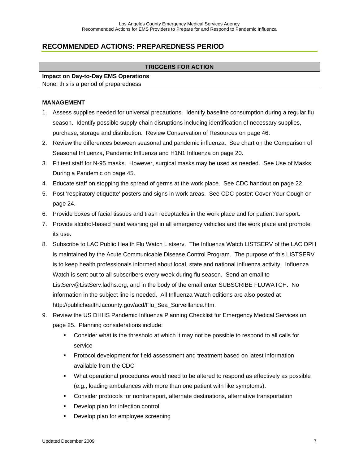# **RECOMMENDED ACTIONS: PREPAREDNESS PERIOD**

#### **TRIGGERS FOR ACTION**

# **Impact on Day-to-Day EMS Operations**

None; this is a period of preparedness

#### **MANAGEMENT**

- 1. Assess supplies needed for universal precautions. Identify baseline consumption during a regular flu season. Identify possible supply chain disruptions including identification of necessary supplies, purchase, storage and distribution. Review Conservation of Resources on page 46.
- 2. Review the differences between seasonal and pandemic influenza. See chart on the Comparison of Seasonal Influenza, Pandemic Influenza and H1N1 Influenza on page 20.
- 3. Fit test staff for N-95 masks. However, surgical masks may be used as needed. See Use of Masks During a Pandemic on page 45.
- 4. Educate staff on stopping the spread of germs at the work place. See CDC handout on page 22.
- 5. Post 'respiratory etiquette' posters and signs in work areas. See CDC poster: Cover Your Cough on page 24.
- 6. Provide boxes of facial tissues and trash receptacles in the work place and for patient transport.
- 7. Provide alcohol-based hand washing gel in all emergency vehicles and the work place and promote its use.
- 8. Subscribe to LAC Public Health Flu Watch Listserv. The Influenza Watch LISTSERV of the LAC DPH is maintained by the Acute Communicable Disease Control Program. The purpose of this LISTSERV is to keep health professionals informed about local, state and national influenza activity. Influenza Watch is sent out to all subscribers every week during flu season. Send an email to ListServ@ListServ.ladhs.org, and in the body of the email enter SUBSCRIBE FLUWATCH. No information in the subject line is needed. All Influenza Watch editions are also posted at http://publichealth.lacounty.gov/acd/Flu\_Sea\_Surveillance.htm.
- 9. Review the US DHHS Pandemic Influenza Planning Checklist for Emergency Medical Services on page 25. Planning considerations include:
	- Consider what is the threshold at which it may not be possible to respond to all calls for service
	- **Protocol development for field assessment and treatment based on latest information** available from the CDC
	- What operational procedures would need to be altered to respond as effectively as possible (e.g., loading ambulances with more than one patient with like symptoms).
	- Consider protocols for nontransport, alternate destinations, alternative transportation
	- **Develop plan for infection control**
	- **•** Develop plan for employee screening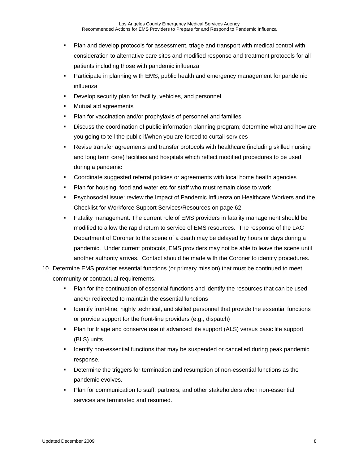- Plan and develop protocols for assessment, triage and transport with medical control with consideration to alternative care sites and modified response and treatment protocols for all patients including those with pandemic influenza
- Participate in planning with EMS, public health and emergency management for pandemic influenza
- **Develop security plan for facility, vehicles, and personnel**
- **Nutual aid agreements**
- **Plan for vaccination and/or prophylaxis of personnel and families**
- Discuss the coordination of public information planning program; determine what and how are you going to tell the public if/when you are forced to curtail services
- Revise transfer agreements and transfer protocols with healthcare (including skilled nursing and long term care) facilities and hospitals which reflect modified procedures to be used during a pandemic
- Coordinate suggested referral policies or agreements with local home health agencies
- Plan for housing, food and water etc for staff who must remain close to work
- Psychosocial issue: review the Impact of Pandemic Influenza on Healthcare Workers and the Checklist for Workforce Support Services/Resources on page 62.
- Fatality management: The current role of EMS providers in fatality management should be modified to allow the rapid return to service of EMS resources. The response of the LAC Department of Coroner to the scene of a death may be delayed by hours or days during a pandemic. Under current protocols, EMS providers may not be able to leave the scene until another authority arrives. Contact should be made with the Coroner to identify procedures.
- 10. Determine EMS provider essential functions (or primary mission) that must be continued to meet community or contractual requirements.
	- Plan for the continuation of essential functions and identify the resources that can be used and/or redirected to maintain the essential functions
	- **IDENTIFY FROM IGENT FIGHT FIGHT FIGHT IS CONTEX THE INCORDED FIGHT IS SET IS SET IF THE ISON FIGHT FIGHT FIGHT ISON FIGHT FIGHT ISON FIGHT FIGHT FIGHT FIGHT ISON FIGHT FIGHT FIGHT FIGHT FIGHT FIGHT FIGHT FIGHT FIGHT FIGHT** or provide support for the front-line providers (e.g., dispatch)
	- Plan for triage and conserve use of advanced life support (ALS) versus basic life support (BLS) units
	- **IDENTIFY 19 IDENTIFY 100 IDENTIFY 100 IDENTIFY 100 IDENTIFY 100 IDENTIFY** 100-100 IDENTIFY 100-100 IDENTIFY 100response.
	- Determine the triggers for termination and resumption of non-essential functions as the pandemic evolves.
	- Plan for communication to staff, partners, and other stakeholders when non-essential services are terminated and resumed.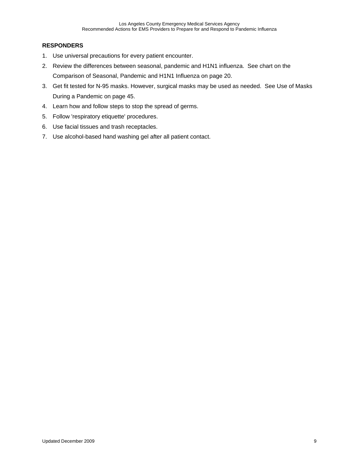#### **RESPONDERS**

- 1. Use universal precautions for every patient encounter.
- 2. Review the differences between seasonal, pandemic and H1N1 influenza. See chart on the Comparison of Seasonal, Pandemic and H1N1 Influenza on page 20.
- 3. Get fit tested for N-95 masks. However, surgical masks may be used as needed. See Use of Masks During a Pandemic on page 45.
- 4. Learn how and follow steps to stop the spread of germs.
- 5. Follow 'respiratory etiquette' procedures.
- 6. Use facial tissues and trash receptacles.
- 7. Use alcohol-based hand washing gel after all patient contact.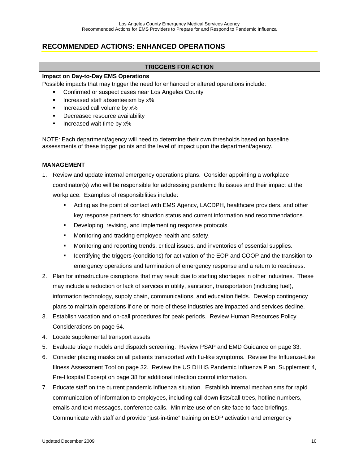# **RECOMMENDED ACTIONS: ENHANCED OPERATIONS**

#### **TRIGGERS FOR ACTION**

#### **Impact on Day-to-Day EMS Operations**

Possible impacts that may trigger the need for enhanced or altered operations include:

- Confirmed or suspect cases near Los Angeles County
- **Increased staff absenteeism by x%**
- **Increased call volume by x%**
- **•** Decreased resource availability
- $\blacksquare$  Increased wait time by x%

NOTE: Each department/agency will need to determine their own thresholds based on baseline assessments of these trigger points and the level of impact upon the department/agency.

#### **MANAGEMENT**

- 1. Review and update internal emergency operations plans. Consider appointing a workplace coordinator(s) who will be responsible for addressing pandemic flu issues and their impact at the workplace. Examples of responsibilities include:
	- Acting as the point of contact with EMS Agency, LACDPH, healthcare providers, and other key response partners for situation status and current information and recommendations.
	- **•** Developing, revising, and implementing response protocols.
	- **Monitoring and tracking employee health and safety.**
	- Monitoring and reporting trends, critical issues, and inventories of essential supplies.
	- **IDENT IDENTIFY** Identifying the triggers (conditions) for activation of the EOP and COOP and the transition to emergency operations and termination of emergency response and a return to readiness.
- 2. Plan for infrastructure disruptions that may result due to staffing shortages in other industries. These may include a reduction or lack of services in utility, sanitation, transportation (including fuel), information technology, supply chain, communications, and education fields. Develop contingency plans to maintain operations if one or more of these industries are impacted and services decline.
- 3. Establish vacation and on-call procedures for peak periods. Review Human Resources Policy Considerations on page 54.
- 4. Locate supplemental transport assets.
- 5. Evaluate triage models and dispatch screening. Review PSAP and EMD Guidance on page 33.
- 6. Consider placing masks on all patients transported with flu-like symptoms. Review the Influenza-Like Illness Assessment Tool on page 32. Review the US DHHS Pandemic Influenza Plan, Supplement 4, Pre-Hospital Excerpt on page 38 for additional infection control information.
- 7. Educate staff on the current pandemic influenza situation. Establish internal mechanisms for rapid communication of information to employees, including call down lists/call trees, hotline numbers, emails and text messages, conference calls. Minimize use of on-site face-to-face briefings. Communicate with staff and provide "just-in-time" training on EOP activation and emergency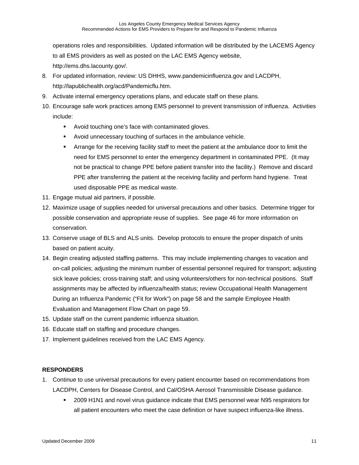operations roles and responsibilities. Updated information will be distributed by the LACEMS Agency to all EMS providers as well as posted on the LAC EMS Agency website, http://ems.dhs.lacounty.gov/.

- 8. For updated information, review: US DHHS, www.pandemicinfluenza.gov and LACDPH, http://lapublichealth.org/acd/Pandemicflu.htm.
- 9. Activate internal emergency operations plans, and educate staff on these plans.
- 10. Encourage safe work practices among EMS personnel to prevent transmission of influenza. Activities include:
	- Avoid touching one's face with contaminated gloves.
	- Avoid unnecessary touching of surfaces in the ambulance vehicle.
	- Arrange for the receiving facility staff to meet the patient at the ambulance door to limit the need for EMS personnel to enter the emergency department in contaminated PPE. (It may not be practical to change PPE before patient transfer into the facility.) Remove and discard PPE after transferring the patient at the receiving facility and perform hand hygiene. Treat used disposable PPE as medical waste.
- 11. Engage mutual aid partners, if possible.
- 12. Maximize usage of supplies needed for universal precautions and other basics. Determine trigger for possible conservation and appropriate reuse of supplies. See page 46 for more information on conservation.
- 13. Conserve usage of BLS and ALS units. Develop protocols to ensure the proper dispatch of units based on patient acuity.
- 14. Begin creating adjusted staffing patterns. This may include implementing changes to vacation and on-call policies; adjusting the minimum number of essential personnel required for transport; adjusting sick leave policies; cross-training staff; and using volunteers/others for non-technical positions. Staff assignments may be affected by influenza/health status; review Occupational Health Management During an Influenza Pandemic ("Fit for Work") on page 58 and the sample Employee Health Evaluation and Management Flow Chart on page 59.
- 15. Update staff on the current pandemic influenza situation.
- 16. Educate staff on staffing and procedure changes.
- 17. Implement guidelines received from the LAC EMS Agency.

#### **RESPONDERS**

- 1. Continue to use universal precautions for every patient encounter based on recommendations from LACDPH, Centers for Disease Control, and Cal/OSHA Aerosol Transmissible Disease guidance.
	- 2009 H1N1 and novel virus guidance indicate that EMS personnel wear N95 respirators for all patient encounters who meet the case definition or have suspect influenza-like illness.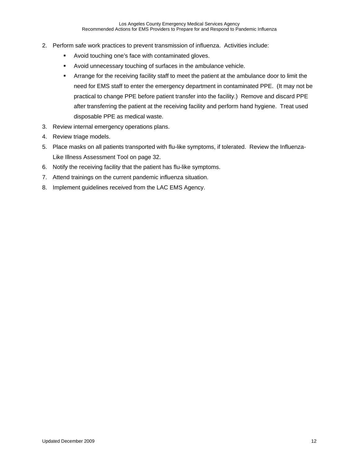- 2. Perform safe work practices to prevent transmission of influenza. Activities include:
	- Avoid touching one's face with contaminated gloves.
	- Avoid unnecessary touching of surfaces in the ambulance vehicle.
	- Arrange for the receiving facility staff to meet the patient at the ambulance door to limit the need for EMS staff to enter the emergency department in contaminated PPE. (It may not be practical to change PPE before patient transfer into the facility.) Remove and discard PPE after transferring the patient at the receiving facility and perform hand hygiene. Treat used disposable PPE as medical waste.
- 3. Review internal emergency operations plans.
- 4. Review triage models.
- 5. Place masks on all patients transported with flu-like symptoms, if tolerated. Review the Influenza-Like Illness Assessment Tool on page 32.
- 6. Notify the receiving facility that the patient has flu-like symptoms.
- 7. Attend trainings on the current pandemic influenza situation.
- 8. Implement guidelines received from the LAC EMS Agency.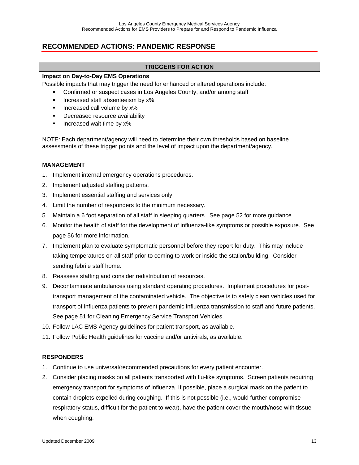### **RECOMMENDED ACTIONS: PANDEMIC RESPONSE**

#### **TRIGGERS FOR ACTION**

#### **Impact on Day-to-Day EMS Operations**

Possible impacts that may trigger the need for enhanced or altered operations include:

- Confirmed or suspect cases in Los Angeles County, and/or among staff
- **Increased staff absenteeism by x%**
- **Increased call volume by x%**
- **•** Decreased resource availability
- **Increased wait time by x%**

NOTE: Each department/agency will need to determine their own thresholds based on baseline assessments of these trigger points and the level of impact upon the department/agency.

#### **MANAGEMENT**

- 1. Implement internal emergency operations procedures.
- 2. Implement adjusted staffing patterns.
- 3. Implement essential staffing and services only.
- 4. Limit the number of responders to the minimum necessary.
- 5. Maintain a 6 foot separation of all staff in sleeping quarters. See page 52 for more guidance.
- 6. Monitor the health of staff for the development of influenza-like symptoms or possible exposure. See page 56 for more information.
- 7. Implement plan to evaluate symptomatic personnel before they report for duty. This may include taking temperatures on all staff prior to coming to work or inside the station/building. Consider sending febrile staff home.
- 8. Reassess staffing and consider redistribution of resources.
- 9. Decontaminate ambulances using standard operating procedures. Implement procedures for posttransport management of the contaminated vehicle. The objective is to safely clean vehicles used for transport of influenza patients to prevent pandemic influenza transmission to staff and future patients. See page 51 for Cleaning Emergency Service Transport Vehicles.
- 10. Follow LAC EMS Agency guidelines for patient transport, as available.
- 11. Follow Public Health guidelines for vaccine and/or antivirals, as available.

#### **RESPONDERS**

- 1. Continue to use universal/recommended precautions for every patient encounter.
- 2. Consider placing masks on all patients transported with flu-like symptoms. Screen patients requiring emergency transport for symptoms of influenza. If possible, place a surgical mask on the patient to contain droplets expelled during coughing. If this is not possible (i.e., would further compromise respiratory status, difficult for the patient to wear), have the patient cover the mouth/nose with tissue when coughing.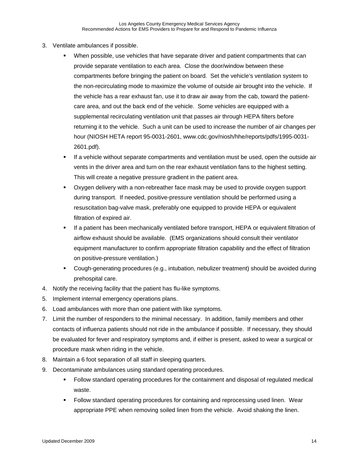- 3. Ventilate ambulances if possible.
	- When possible, use vehicles that have separate driver and patient compartments that can provide separate ventilation to each area. Close the door/window between these compartments before bringing the patient on board. Set the vehicle's ventilation system to the non-recirculating mode to maximize the volume of outside air brought into the vehicle. If the vehicle has a rear exhaust fan, use it to draw air away from the cab, toward the patientcare area, and out the back end of the vehicle. Some vehicles are equipped with a supplemental recirculating ventilation unit that passes air through HEPA filters before returning it to the vehicle. Such a unit can be used to increase the number of air changes per hour (NIOSH HETA report 95-0031-2601, www.cdc.gov/niosh/hhe/reports/pdfs/1995-0031- 2601.pdf).
	- If a vehicle without separate compartments and ventilation must be used, open the outside air vents in the driver area and turn on the rear exhaust ventilation fans to the highest setting. This will create a negative pressure gradient in the patient area.
	- Oxygen delivery with a non-rebreather face mask may be used to provide oxygen support during transport. If needed, positive-pressure ventilation should be performed using a resuscitation bag-valve mask, preferably one equipped to provide HEPA or equivalent filtration of expired air.
	- If a patient has been mechanically ventilated before transport, HEPA or equivalent filtration of airflow exhaust should be available. (EMS organizations should consult their ventilator equipment manufacturer to confirm appropriate filtration capability and the effect of filtration on positive-pressure ventilation.)
	- Cough-generating procedures (e.g., intubation, nebulizer treatment) should be avoided during prehospital care.
- 4. Notify the receiving facility that the patient has flu-like symptoms.
- 5. Implement internal emergency operations plans.
- 6. Load ambulances with more than one patient with like symptoms.
- 7. Limit the number of responders to the minimal necessary. In addition, family members and other contacts of influenza patients should not ride in the ambulance if possible. If necessary, they should be evaluated for fever and respiratory symptoms and, if either is present, asked to wear a surgical or procedure mask when riding in the vehicle.
- 8. Maintain a 6 foot separation of all staff in sleeping quarters.
- 9. Decontaminate ambulances using standard operating procedures.
	- Follow standard operating procedures for the containment and disposal of regulated medical waste.
	- Follow standard operating procedures for containing and reprocessing used linen. Wear appropriate PPE when removing soiled linen from the vehicle. Avoid shaking the linen.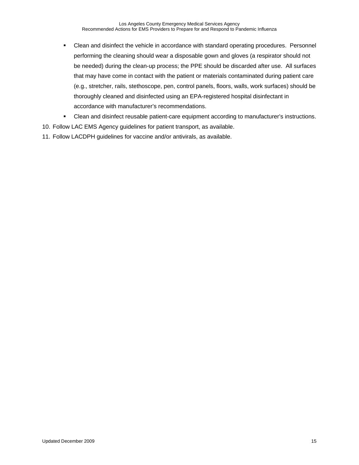- Clean and disinfect the vehicle in accordance with standard operating procedures. Personnel performing the cleaning should wear a disposable gown and gloves (a respirator should not be needed) during the clean-up process; the PPE should be discarded after use. All surfaces that may have come in contact with the patient or materials contaminated during patient care (e.g., stretcher, rails, stethoscope, pen, control panels, floors, walls, work surfaces) should be thoroughly cleaned and disinfected using an EPA-registered hospital disinfectant in accordance with manufacturer's recommendations.
- Clean and disinfect reusable patient-care equipment according to manufacturer's instructions.
- 10. Follow LAC EMS Agency guidelines for patient transport, as available.
- 11. Follow LACDPH guidelines for vaccine and/or antivirals, as available.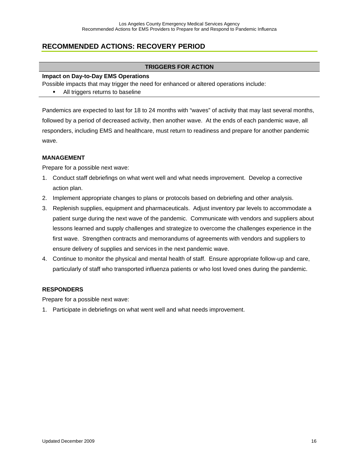# **RECOMMENDED ACTIONS: RECOVERY PERIOD**

#### **TRIGGERS FOR ACTION**

#### **Impact on Day-to-Day EMS Operations**

Possible impacts that may trigger the need for enhanced or altered operations include:

All triggers returns to baseline

Pandemics are expected to last for 18 to 24 months with "waves" of activity that may last several months, followed by a period of decreased activity, then another wave. At the ends of each pandemic wave, all responders, including EMS and healthcare, must return to readiness and prepare for another pandemic wave.

#### **MANAGEMENT**

Prepare for a possible next wave:

- 1. Conduct staff debriefings on what went well and what needs improvement. Develop a corrective action plan.
- 2. Implement appropriate changes to plans or protocols based on debriefing and other analysis.
- 3. Replenish supplies, equipment and pharmaceuticals. Adjust inventory par levels to accommodate a patient surge during the next wave of the pandemic. Communicate with vendors and suppliers about lessons learned and supply challenges and strategize to overcome the challenges experience in the first wave. Strengthen contracts and memorandums of agreements with vendors and suppliers to ensure delivery of supplies and services in the next pandemic wave.
- 4. Continue to monitor the physical and mental health of staff. Ensure appropriate follow-up and care, particularly of staff who transported influenza patients or who lost loved ones during the pandemic.

#### **RESPONDERS**

Prepare for a possible next wave:

1. Participate in debriefings on what went well and what needs improvement.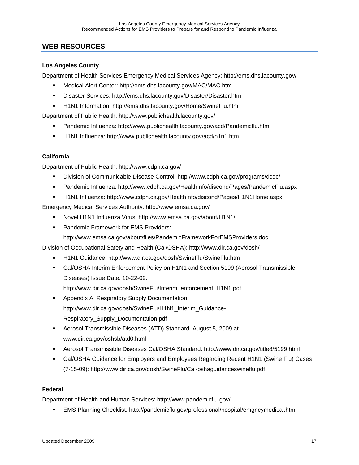### **WEB RESOURCES**

#### **Los Angeles County**

Department of Health Services Emergency Medical Services Agency: http://ems.dhs.lacounty.gov/

- Medical Alert Center: http://ems.dhs.lacounty.gov/MAC/MAC.htm
- Disaster Services: http://ems.dhs.lacounty.gov/Disaster/Disaster.htm
- H1N1 Information: http://ems.dhs.lacounty.gov/Home/SwineFlu.htm

Department of Public Health: http://www.publichealth.lacounty.gov/

- Pandemic Influenza: http://www.publichealth.lacounty.gov/acd/Pandemicflu.htm
- H1N1 Influenza: http://www.publichealth.lacounty.gov/acd/h1n1.htm

#### **California**

Department of Public Health: http://www.cdph.ca.gov/

- Division of Communicable Disease Control: http://www.cdph.ca.gov/programs/dcdc/
- Pandemic Influenza: http://www.cdph.ca.gov/HealthInfo/discond/Pages/PandemicFlu.aspx
- H1N1 Influenza: http://www.cdph.ca.gov/HealthInfo/discond/Pages/H1N1Home.aspx

Emergency Medical Services Authority: http://www.emsa.ca.gov/

- Novel H1N1 Influenza Virus: http://www.emsa.ca.gov/about/H1N1/
- **Pandemic Framework for EMS Providers:** 
	- http://www.emsa.ca.gov/about/files/PandemicFrameworkForEMSProviders.doc

Division of Occupational Safety and Health (Cal/OSHA): http://www.dir.ca.gov/dosh/

- H1N1 Guidance: http://www.dir.ca.gov/dosh/SwineFlu/SwineFlu.htm
- Cal/OSHA Interim Enforcement Policy on H1N1 and Section 5199 (Aerosol Transmissible Diseases) Issue Date: 10-22-09:

http://www.dir.ca.gov/dosh/SwineFlu/Interim\_enforcement\_H1N1.pdf

- **Appendix A: Respiratory Supply Documentation:** http://www.dir.ca.gov/dosh/SwineFlu/H1N1\_Interim\_Guidance-Respiratory\_Supply\_Documentation.pdf
- Aerosol Transmissible Diseases (ATD) Standard. August 5, 2009 at www.dir.ca.gov/oshsb/atd0.html
- Aerosol Transmissible Diseases Cal/OSHA Standard: http://www.dir.ca.gov/title8/5199.html
- Cal/OSHA Guidance for Employers and Employees Regarding Recent H1N1 (Swine Flu) Cases (7-15-09): http://www.dir.ca.gov/dosh/SwineFlu/Cal-oshaguidanceswineflu.pdf

#### **Federal**

Department of Health and Human Services: http://www.pandemicflu.gov/

EMS Planning Checklist: http://pandemicflu.gov/professional/hospital/emgncymedical.html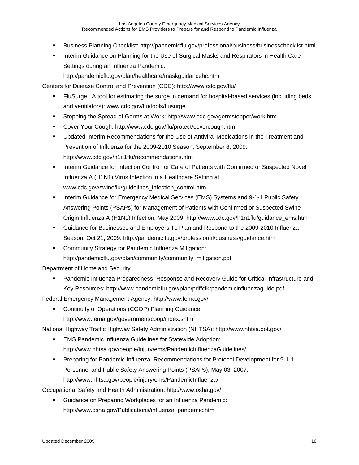- Business Planning Checklist: http://pandemicflu.gov/professional/business/businesschecklist.html
- **Interim Guidance on Planning for the Use of Surgical Masks and Respirators in Health Care** Settings during an Influenza Pandemic:

http://pandemicflu.gov/plan/healthcare/maskguidancehc.html

Centers for Disease Control and Prevention (CDC): http://www.cdc.gov/flu/

- FluSurge: A tool for estimating the surge in demand for hospital-based services (including beds and ventilators): www.cdc.gov/flu/tools/flusurge
- Stopping the Spread of Germs at Work: http://www.cdc.gov/germstopper/work.htm
- Cover Your Cough: http://www.cdc.gov/flu/protect/covercough.htm
- Updated Interim Recommendations for the Use of Antiviral Medications in the Treatment and Prevention of Influenza for the 2009-2010 Season, September 8, 2009: http://www.cdc.gov/h1n1flu/recommendations.htm
- **Interim Guidance for Infection Control for Care of Patients with Confirmed or Suspected Novel** Influenza A (H1N1) Virus Infection in a Healthcare Setting at www.cdc.gov/swineflu/guidelines\_infection\_control.htm
- **Interim Guidance for Emergency Medical Services (EMS) Systems and 9-1-1 Public Safety** Answering Points (PSAPs) for Management of Patients with Confirmed or Suspected Swine-Origin Influenza A (H1N1) Infection, May 2009: http://www.cdc.gov/h1n1flu/guidance\_ems.htm
- Guidance for Businesses and Employers To Plan and Respond to the 2009-2010 Influenza Season, Oct 21, 2009: http://pandemicflu.gov/professional/business/guidance.html
- **EXEDENT** Community Strategy for Pandemic Influenza Mitigation: http://pandemicflu.gov/plan/community/community\_mitigation.pdf

Department of Homeland Security

 Pandemic Influenza Preparedness, Response and Recovery Guide for Critical Infrastructure and Key Resources: http://www.pandemicflu.gov/plan/pdf/cikrpandemicinfluenzaguide.pdf

Federal Emergency Management Agency: http://www.fema.gov/

**Continuity of Operations (COOP) Planning Guidance:** 

http://www.fema.gov/government/coop/index.shtm

National Highway Traffic Highway Safety Administration (NHTSA): http://www.nhtsa.dot.gov/

- EMS Pandemic Influenza Guidelines for Statewide Adoption: http://www.nhtsa.gov/people/injury/ems/PandemicInfluenzaGuidelines/
- Preparing for Pandemic Influenza: Recommendations for Protocol Development for 9-1-1 Personnel and Public Safety Answering Points (PSAPs), May 03, 2007: http://www.nhtsa.gov/people/injury/ems/PandemicInfluenza/

Occupational Safety and Health Administration: http://www.osha.gov/

 Guidance on Preparing Workplaces for an Influenza Pandemic: http://www.osha.gov/Publications/influenza\_pandemic.html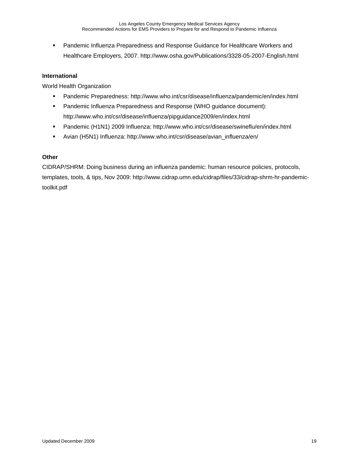**Pandemic Influenza Preparedness and Response Guidance for Healthcare Workers and** Healthcare Employers, 2007. http://www.osha.gov/Publications/3328-05-2007-English.html

#### **International**

World Health Organization

- Pandemic Preparedness: http://www.who.int/csr/disease/influenza/pandemic/en/index.html
- Pandemic Influenza Preparedness and Response (WHO guidance document): http://www.who.int/csr/disease/influenza/pipguidance2009/en/index.html
- Pandemic (H1N1) 2009 Influenza: http://www.who.int/csr/disease/swineflu/en/index.html
- Avian (H5N1) Influenza: http://www.who.int/csr/disease/avian\_influenza/en/

#### **Other**

CIDRAP/SHRM: Doing business during an influenza pandemic: human resource policies, protocols, templates, tools, & tips, Nov 2009: http://www.cidrap.umn.edu/cidrap/files/33/cidrap-shrm-hr-pandemictoolkit.pdf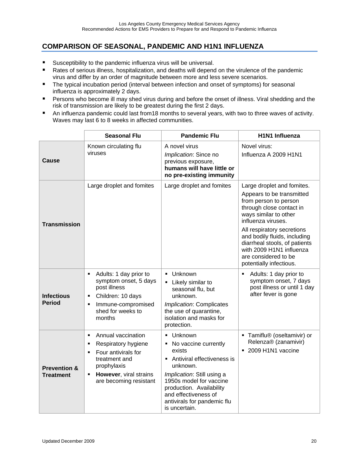# **COMPARISON OF SEASONAL, PANDEMIC AND H1N1 INFLUENZA**

- **Susceptibility to the pandemic influenza virus will be universal.**
- **Rates of serious illness, hospitalization, and deaths will depend on the virulence of the pandemic** virus and differ by an order of magnitude between more and less severe scenarios.
- **The typical incubation period (interval between infection and onset of symptoms) for seasonal** influenza is approximately 2 days.
- **Persons who become ill may shed virus during and before the onset of illness. Viral shedding and the** risk of transmission are likely to be greatest during the first 2 days.
- An influenza pandemic could last from18 months to several years, with two to three waves of activity. Waves may last 6 to 8 weeks in affected communities.

|                                      | <b>Seasonal Flu</b>                                                                                                                                                                                | <b>Pandemic Flu</b>                                                                                                                                                                                                                                | <b>H1N1 Influenza</b>                                                                                                                                                                                                                                                                                                                     |
|--------------------------------------|----------------------------------------------------------------------------------------------------------------------------------------------------------------------------------------------------|----------------------------------------------------------------------------------------------------------------------------------------------------------------------------------------------------------------------------------------------------|-------------------------------------------------------------------------------------------------------------------------------------------------------------------------------------------------------------------------------------------------------------------------------------------------------------------------------------------|
| Cause                                | Known circulating flu<br>viruses                                                                                                                                                                   | A novel virus<br>Implication: Since no<br>previous exposure,<br>humans will have little or<br>no pre-existing immunity                                                                                                                             |                                                                                                                                                                                                                                                                                                                                           |
| <b>Transmission</b>                  | Large droplet and fomites                                                                                                                                                                          | Large droplet and fomites                                                                                                                                                                                                                          | Large droplet and fomites.<br>Appears to be transmitted<br>from person to person<br>through close contact in<br>ways similar to other<br>influenza viruses.<br>All respiratory secretions<br>and bodily fluids, including<br>diarrheal stools, of patients<br>with 2009 H1N1 influenza<br>are considered to be<br>potentially infectious. |
| <b>Infectious</b><br><b>Period</b>   | Adults: 1 day prior to<br>$\blacksquare$<br>symptom onset, 5 days<br>post illness<br>Children: 10 days<br>٠<br>Immune-compromised<br>٠<br>shed for weeks to<br>months                              | Unknown<br>$\blacksquare$<br>Likely similar to<br>seasonal flu, but<br>unknown.<br>Implication: Complicates<br>the use of quarantine,<br>isolation and masks for<br>protection.                                                                    | Adults: 1 day prior to<br>٠<br>symptom onset, 7 days<br>post illness or until 1 day<br>after fever is gone                                                                                                                                                                                                                                |
| <b>Prevention &amp;</b><br>Treatment | Annual vaccination<br>$\blacksquare$<br>Respiratory hygiene<br>٠<br>Four antivirals for<br>٠<br>treatment and<br>prophylaxis<br>However, viral strains<br>$\blacksquare$<br>are becoming resistant | · Unknown<br>No vaccine currently<br>exists<br>Antiviral effectiveness is<br>unknown.<br>Implication: Still using a<br>1950s model for vaccine<br>production. Availability<br>and effectiveness of<br>antivirals for pandemic flu<br>is uncertain. | • Tamiflu® (oseltamivir) or<br>Relenza® (zanamivir)<br>• 2009 H1N1 vaccine                                                                                                                                                                                                                                                                |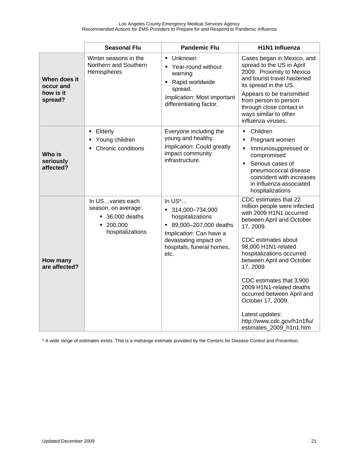|                                                   | <b>Seasonal Flu</b>                                                                                         | <b>Pandemic Flu</b>                                                                                                                                                                       | H1N1 Influenza                                                                                                                                                                                                                                                                                                                                                                                                                          |
|---------------------------------------------------|-------------------------------------------------------------------------------------------------------------|-------------------------------------------------------------------------------------------------------------------------------------------------------------------------------------------|-----------------------------------------------------------------------------------------------------------------------------------------------------------------------------------------------------------------------------------------------------------------------------------------------------------------------------------------------------------------------------------------------------------------------------------------|
| When does it<br>occur and<br>how is it<br>spread? | Winter seasons in the<br>Northern and Southern<br>Hemispheres                                               | Unknown<br>$\blacksquare$<br>Year-round without<br>warning<br>Rapid worldwide<br>spread.<br>Implication: Most important<br>differentiating factor.                                        | Cases began in Mexico, and<br>spread to the US in April<br>2009. Proximity to Mexico<br>and tourist travel hastened<br>its spread in the US.<br>Appears to be transmitted<br>from person to person<br>through close contact in<br>ways similar to other<br>influenza viruses.                                                                                                                                                           |
| Who is<br>seriously<br>affected?                  | Elderly<br>Young children<br>Chronic conditions                                                             | Everyone including the<br>young and healthy.<br>Implication: Could greatly<br>impact community<br>infrastructure.                                                                         | Children<br>$\blacksquare$<br>Pregnant women<br>П<br>Immunosuppressed or<br>$\blacksquare$<br>compromised<br>Serious cases of<br>$\blacksquare$<br>pneumococcal disease<br>coincident with increases<br>in influenza-associated<br>hospitalizations                                                                                                                                                                                     |
| How many<br>are affected?                         | In USvaries each<br>season, on average:<br>$\blacksquare$ 36,000 deaths<br>200,000<br>٠<br>hospitalizations | In $US^*$<br>$-314,000 - 734,000$<br>hospitalizations<br>89,000-207,000 deaths<br>$\blacksquare$<br>Implication: Can have a<br>devastating impact on<br>hospitals, funeral homes,<br>etc. | CDC estimates that 22<br>million people were infected<br>with 2009 H1N1 occurred<br>between April and October<br>17, 2009.<br>CDC estimates about<br>98,000 H1N1-related<br>hospitalizations occurred<br>between April and October<br>17, 2009.<br>CDC estimates that 3,900<br>2009 H1N1-related deaths<br>occurred between April and<br>October 17, 2009.<br>Latest updates:<br>http://www.cdc.gov/h1n1flu/<br>estimates_2009_h1n1.htm |

\* A wide range of estimates exists. This is a midrange estimate provided by the Centers for Disease Control and Prevention.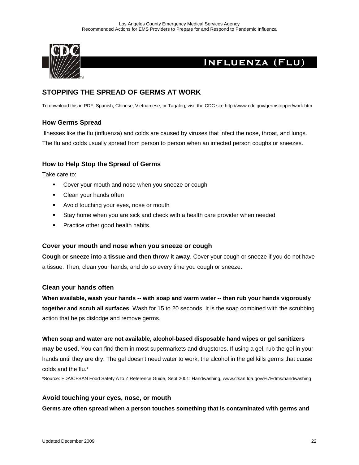

# **INFLUENZA (FLU)**

### **STOPPING THE SPREAD OF GERMS AT WORK**

To download this in PDF, Spanish, Chinese, Vietnamese, or Tagalog, visit the CDC site http://www.cdc.gov/germstopper/work.htm

### **How Germs Spread**

Illnesses like the flu (influenza) and colds are caused by viruses that infect the nose, throat, and lungs. The flu and colds usually spread from person to person when an infected person coughs or sneezes.

#### **How to Help Stop the Spread of Germs**

Take care to:

- **Cover your mouth and nose when you sneeze or cough**
- Clean your hands often
- **Avoid touching your eyes, nose or mouth**
- Stay home when you are sick and check with a health care provider when needed
- **Practice other good health habits.**

#### **Cover your mouth and nose when you sneeze or cough**

**Cough or sneeze into a tissue and then throw it away**. Cover your cough or sneeze if you do not have a tissue. Then, clean your hands, and do so every time you cough or sneeze.

#### **Clean your hands often**

**When available, wash your hands -- with soap and warm water -- then rub your hands vigorously together and scrub all surfaces**. Wash for 15 to 20 seconds. It is the soap combined with the scrubbing action that helps dislodge and remove germs.

#### **When soap and water are not available, alcohol-based disposable hand wipes or gel sanitizers**

**may be used**. You can find them in most supermarkets and drugstores. If using a gel, rub the gel in your hands until they are dry. The gel doesn't need water to work; the alcohol in the gel kills germs that cause colds and the flu.\*

\*Source: FDA/CFSAN Food Safety A to Z Reference Guide, Sept 2001: Handwashing, www.cfsan.fda.gov/%7Edms/handwashing

#### **Avoid touching your eyes, nose, or mouth**

**Germs are often spread when a person touches something that is contaminated with germs and**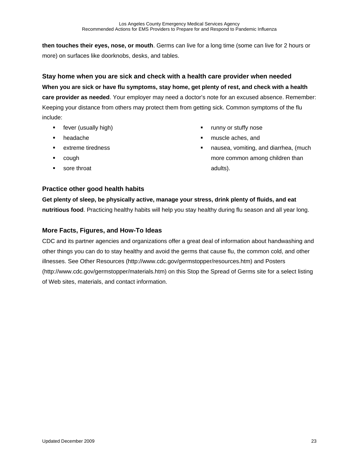**then touches their eyes, nose, or mouth**. Germs can live for a long time (some can live for 2 hours or more) on surfaces like doorknobs, desks, and tables.

**Stay home when you are sick and check with a health care provider when needed When you are sick or have flu symptoms, stay home, get plenty of rest, and check with a health care provider as needed**. Your employer may need a doctor's note for an excused absence. Remember: Keeping your distance from others may protect them from getting sick. Common symptoms of the flu include:

- **fever** (usually high)
- headache
- **EXTEME tiredness**
- cough
- sore throat
- **•** runny or stuffy nose
- muscle aches, and
- **nausea, vomiting, and diarrhea, (much** more common among children than adults).

### **Practice other good health habits**

**Get plenty of sleep, be physically active, manage your stress, drink plenty of fluids, and eat nutritious food**. Practicing healthy habits will help you stay healthy during flu season and all year long.

### **More Facts, Figures, and How-To Ideas**

CDC and its partner agencies and organizations offer a great deal of information about handwashing and other things you can do to stay healthy and avoid the germs that cause flu, the common cold, and other illnesses. See Other Resources (http://www.cdc.gov/germstopper/resources.htm) and Posters (http://www.cdc.gov/germstopper/materials.htm) on this Stop the Spread of Germs site for a select listing of Web sites, materials, and contact information.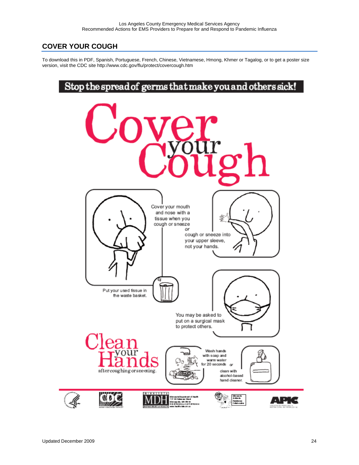# **COVER YOUR COUGH**

To download this in PDF, Spanish, Portuguese, French, Chinese, Vietnamese, Hmong, Khmer or Tagalog, or to get a poster size version, visit the CDC site http://www.cdc.gov/flu/protect/covercough.htm

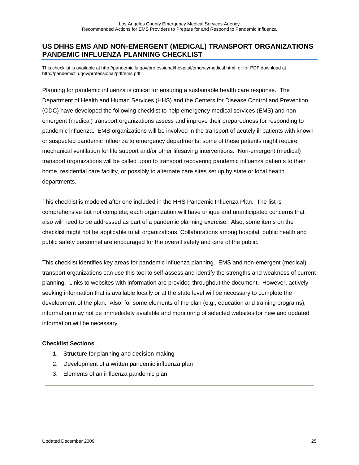### **US DHHS EMS AND NON-EMERGENT (MEDICAL) TRANSPORT ORGANIZATIONS PANDEMIC INFLUENZA PLANNING CHECKLIST**

This checklist is available at http://pandemicflu.gov/professional/hospital/emgncymedical.html, or for PDF download at http://pandemicflu.gov/professional/pdf/ems.pdf.

Planning for pandemic influenza is critical for ensuring a sustainable health care response. The Department of Health and Human Services (HHS) and the Centers for Disease Control and Prevention (CDC) have developed the following checklist to help emergency medical services (EMS) and nonemergent (medical) transport organizations assess and improve their preparedness for responding to pandemic influenza. EMS organizations will be involved in the transport of acutely ill patients with known or suspected pandemic influenza to emergency departments; some of these patients might require mechanical ventilation for life support and/or other lifesaving interventions. Non-emergent (medical) transport organizations will be called upon to transport recovering pandemic influenza patients to their home, residential care facility, or possibly to alternate care sites set up by state or local health departments.

This checklist is modeled after one included in the HHS Pandemic Influenza Plan. The list is comprehensive but not complete; each organization will have unique and unanticipated concerns that also will need to be addressed as part of a pandemic planning exercise. Also, some items on the checklist might not be applicable to all organizations. Collaborations among hospital, public health and public safety personnel are encouraged for the overall safety and care of the public.

This checklist identifies key areas for pandemic influenza planning. EMS and non-emergent (medical) transport organizations can use this tool to self-assess and identify the strengths and weakness of current planning. Links to websites with information are provided throughout the document. However, actively seeking information that is available locally or at the state level will be necessary to complete the development of the plan. Also, for some elements of the plan (e.g., education and training programs), information may not be immediately available and monitoring of selected websites for new and updated information will be necessary.

#### **Checklist Sections**

- 1. Structure for planning and decision making
- 2. Development of a written pandemic influenza plan
- 3. Elements of an influenza pandemic plan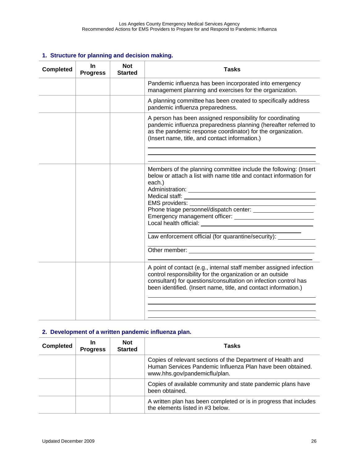### **1. Structure for planning and decision making.**

| <b>Completed</b> | In.<br><b>Progress</b> | <b>Not</b><br><b>Started</b> | <b>Tasks</b>                                                                                                                                                                                                                                                                                                              |
|------------------|------------------------|------------------------------|---------------------------------------------------------------------------------------------------------------------------------------------------------------------------------------------------------------------------------------------------------------------------------------------------------------------------|
|                  |                        |                              | Pandemic influenza has been incorporated into emergency<br>management planning and exercises for the organization.                                                                                                                                                                                                        |
|                  |                        |                              | A planning committee has been created to specifically address<br>pandemic influenza preparedness.                                                                                                                                                                                                                         |
|                  |                        |                              | A person has been assigned responsibility for coordinating<br>pandemic influenza preparedness planning (hereafter referred to<br>as the pandemic response coordinator) for the organization.<br>(Insert name, title, and contact information.)                                                                            |
|                  |                        |                              | Members of the planning committee include the following: (Insert<br>below or attach a list with name title and contact information for<br>each.)<br>EMS providers:<br>Phone triage personnel/dispatch center: _______________________<br>Law enforcement official (for quarantine/security): ____________________________ |
|                  |                        |                              | A point of contact (e.g., internal staff member assigned infection<br>control responsibility for the organization or an outside<br>consultant) for questions/consultation on infection control has<br>been identified. (Insert name, title, and contact information.)                                                     |

#### **2. Development of a written pandemic influenza plan.**

| <b>Completed</b> | In<br><b>Progress</b> | <b>Not</b><br><b>Started</b> | Tasks                                                                                                                                                      |
|------------------|-----------------------|------------------------------|------------------------------------------------------------------------------------------------------------------------------------------------------------|
|                  |                       |                              | Copies of relevant sections of the Department of Health and<br>Human Services Pandemic Influenza Plan have been obtained.<br>www.hhs.gov/pandemicflu/plan. |
|                  |                       |                              | Copies of available community and state pandemic plans have<br>been obtained.                                                                              |
|                  |                       |                              | A written plan has been completed or is in progress that includes<br>the elements listed in #3 below.                                                      |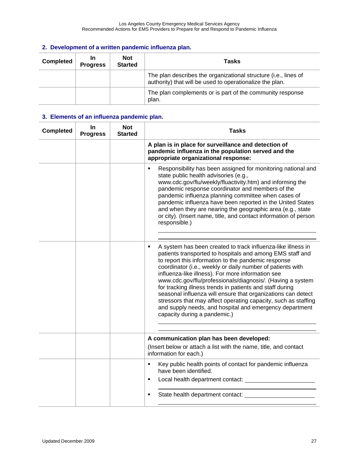|  |  | 2. Development of a written pandemic influenza plan. |  |
|--|--|------------------------------------------------------|--|
|  |  |                                                      |  |

| <b>Completed</b> | In<br><b>Progress</b> | <b>Not</b><br><b>Started</b> | Tasks                                                                                                                       |
|------------------|-----------------------|------------------------------|-----------------------------------------------------------------------------------------------------------------------------|
|                  |                       |                              | The plan describes the organizational structure (i.e., lines of<br>authority) that will be used to operationalize the plan. |
|                  |                       |                              | The plan complements or is part of the community response<br>plan.                                                          |

| <b>Completed</b> | In.<br><b>Progress</b> | <b>Not</b><br><b>Started</b> | <b>Tasks</b>                                                                                                                                                                                                                                                                                                                                                                                                                                                                                                                                                                                                                                                                 |
|------------------|------------------------|------------------------------|------------------------------------------------------------------------------------------------------------------------------------------------------------------------------------------------------------------------------------------------------------------------------------------------------------------------------------------------------------------------------------------------------------------------------------------------------------------------------------------------------------------------------------------------------------------------------------------------------------------------------------------------------------------------------|
|                  |                        |                              | A plan is in place for surveillance and detection of<br>pandemic influenza in the population served and the<br>appropriate organizational response:                                                                                                                                                                                                                                                                                                                                                                                                                                                                                                                          |
|                  |                        |                              | Responsibility has been assigned for monitoring national and<br>$\blacksquare$<br>state public health advisories (e.g.,<br>www.cdc.gov/flu/weekly/fluactivity.htm) and informing the<br>pandemic response coordinator and members of the<br>pandemic influenza planning committee when cases of<br>pandemic influenza have been reported in the United States<br>and when they are nearing the geographic area (e.g., state<br>or city). (Insert name, title, and contact information of person<br>responsible.)                                                                                                                                                             |
|                  |                        |                              | A system has been created to track influenza-like illness in<br>$\blacksquare$<br>patients transported to hospitals and among EMS staff and<br>to report this information to the pandemic response<br>coordinator (i.e., weekly or daily number of patients with<br>influenza-like illness). For more information see<br>www.cdc.gov/flu/professionals/diagnosis/. (Having a system<br>for tracking illness trends in patients and staff during<br>seasonal influenza will ensure that organizations can detect<br>stressors that may affect operating capacity, such as staffing<br>and supply needs, and hospital and emergency department<br>capacity during a pandemic.) |
|                  |                        |                              | A communication plan has been developed:<br>(Insert below or attach a list with the name, title, and contact                                                                                                                                                                                                                                                                                                                                                                                                                                                                                                                                                                 |
|                  |                        |                              | information for each.)                                                                                                                                                                                                                                                                                                                                                                                                                                                                                                                                                                                                                                                       |
|                  |                        |                              | Key public health points of contact for pandemic influenza<br>$\blacksquare$<br>have been identified.<br>$\blacksquare$                                                                                                                                                                                                                                                                                                                                                                                                                                                                                                                                                      |
|                  |                        |                              | State health department contact:<br>٠                                                                                                                                                                                                                                                                                                                                                                                                                                                                                                                                                                                                                                        |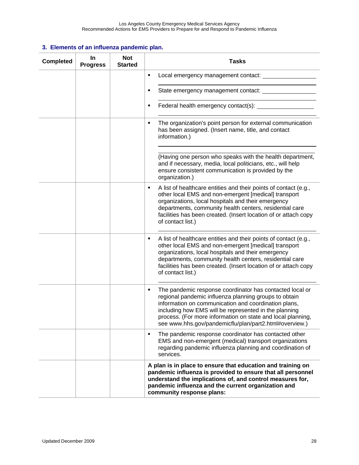| <b>Completed</b> | In<br><b>Progress</b> | <b>Not</b><br><b>Started</b> | <b>Tasks</b>                                                                                                                                                                                                                                                                                                                                                     |
|------------------|-----------------------|------------------------------|------------------------------------------------------------------------------------------------------------------------------------------------------------------------------------------------------------------------------------------------------------------------------------------------------------------------------------------------------------------|
|                  |                       |                              | ٠<br>Local emergency management contact: _____________                                                                                                                                                                                                                                                                                                           |
|                  |                       |                              | ٠                                                                                                                                                                                                                                                                                                                                                                |
|                  |                       |                              | ٠                                                                                                                                                                                                                                                                                                                                                                |
|                  |                       |                              | The organization's point person for external communication<br>٠<br>has been assigned. (Insert name, title, and contact<br>information.)                                                                                                                                                                                                                          |
|                  |                       |                              | (Having one person who speaks with the health department,<br>and if necessary, media, local politicians, etc., will help<br>ensure consistent communication is provided by the<br>organization.)                                                                                                                                                                 |
|                  |                       |                              | A list of healthcare entities and their points of contact (e.g.,<br>٠<br>other local EMS and non-emergent [medical] transport<br>organizations, local hospitals and their emergency<br>departments, community health centers, residential care<br>facilities has been created. (Insert location of or attach copy<br>of contact list.)                           |
|                  |                       |                              | A list of healthcare entities and their points of contact (e.g.,<br>٠<br>other local EMS and non-emergent [medical] transport<br>organizations, local hospitals and their emergency<br>departments, community health centers, residential care<br>facilities has been created. (Insert location of or attach copy<br>of contact list.)                           |
|                  |                       |                              | The pandemic response coordinator has contacted local or<br>٠<br>regional pandemic influenza planning groups to obtain<br>information on communication and coordination plans,<br>including how EMS will be represented in the planning<br>process. (For more information on state and local planning,<br>see www.hhs.gov/pandemicflu/plan/part2.html#overview.) |
|                  |                       |                              | The pandemic response coordinator has contacted other<br>٠<br>EMS and non-emergent (medical) transport organizations<br>regarding pandemic influenza planning and coordination of<br>services.                                                                                                                                                                   |
|                  |                       |                              | A plan is in place to ensure that education and training on<br>pandemic influenza is provided to ensure that all personnel<br>understand the implications of, and control measures for,<br>pandemic influenza and the current organization and<br>community response plans:                                                                                      |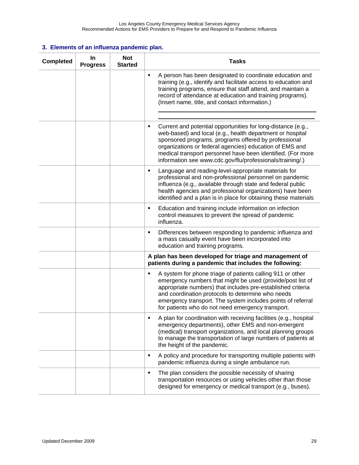| <b>Completed</b> | In<br><b>Progress</b> | <b>Not</b><br><b>Started</b> | <b>Tasks</b>                                                                                                                                                                                                                                                                                                                                                                  |
|------------------|-----------------------|------------------------------|-------------------------------------------------------------------------------------------------------------------------------------------------------------------------------------------------------------------------------------------------------------------------------------------------------------------------------------------------------------------------------|
|                  |                       |                              | A person has been designated to coordinate education and<br>٠<br>training (e.g., identify and facilitate access to education and<br>training programs, ensure that staff attend, and maintain a<br>record of attendance at education and training programs).<br>(Insert name, title, and contact information.)                                                                |
|                  |                       |                              | Current and potential opportunities for long-distance (e.g.,<br>٠<br>web-based) and local (e.g., health department or hospital<br>sponsored programs, programs offered by professional<br>organizations or federal agencies) education of EMS and<br>medical transport personnel have been identified. (For more<br>information see www.cdc.gov/flu/professionals/training/.) |
|                  |                       |                              | Language and reading-level-appropriate materials for<br>٠<br>professional and non-professional personnel on pandemic<br>influenza (e.g., available through state and federal public<br>health agencies and professional organizations) have been<br>identified and a plan is in place for obtaining these materials                                                           |
|                  |                       |                              | Education and training include information on infection<br>٠<br>control measures to prevent the spread of pandemic<br>influenza.                                                                                                                                                                                                                                              |
|                  |                       |                              | Differences between responding to pandemic influenza and<br>٠<br>a mass casualty event have been incorporated into<br>education and training programs.                                                                                                                                                                                                                        |
|                  |                       |                              | A plan has been developed for triage and management of<br>patients during a pandemic that includes the following:                                                                                                                                                                                                                                                             |
|                  |                       |                              | A system for phone triage of patients calling 911 or other<br>emergency numbers that might be used (provide/post list of<br>appropriate numbers) that includes pre-established criteria<br>and coordination protocols to determine who needs<br>emergency transport. The system includes points of referral<br>for patients who do not need emergency transport.              |
|                  |                       |                              | A plan for coordination with receiving facilities (e.g., hospital<br>٠<br>emergency departments), other EMS and non-emergent<br>(medical) transport organizations, and local planning groups<br>to manage the transportation of large numbers of patients at<br>the height of the pandemic.                                                                                   |
|                  |                       |                              | A policy and procedure for transporting multiple patients with<br>٠<br>pandemic influenza during a single ambulance run.                                                                                                                                                                                                                                                      |
|                  |                       |                              | The plan considers the possible necessity of sharing<br>٠<br>transportation resources or using vehicles other than those<br>designed for emergency or medical transport (e.g., buses).                                                                                                                                                                                        |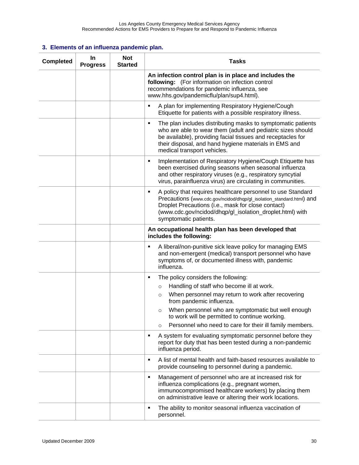| <b>Completed</b> | <b>In</b><br><b>Progress</b> | <b>Not</b><br><b>Started</b> | <b>Tasks</b>                                                                                                                                                                                                                                                                                                                                                                            |
|------------------|------------------------------|------------------------------|-----------------------------------------------------------------------------------------------------------------------------------------------------------------------------------------------------------------------------------------------------------------------------------------------------------------------------------------------------------------------------------------|
|                  |                              |                              | An infection control plan is in place and includes the<br>following: (For information on infection control<br>recommendations for pandemic influenza, see<br>www.hhs.gov/pandemicflu/plan/sup4.html).                                                                                                                                                                                   |
|                  |                              |                              | A plan for implementing Respiratory Hygiene/Cough<br>٠<br>Etiquette for patients with a possible respiratory illness.                                                                                                                                                                                                                                                                   |
|                  |                              |                              | The plan includes distributing masks to symptomatic patients<br>٠<br>who are able to wear them (adult and pediatric sizes should<br>be available), providing facial tissues and receptacles for<br>their disposal, and hand hygiene materials in EMS and<br>medical transport vehicles.                                                                                                 |
|                  |                              |                              | Implementation of Respiratory Hygiene/Cough Etiquette has<br>٠<br>been exercised during seasons when seasonal influenza<br>and other respiratory viruses (e.g., respiratory syncytial<br>virus, parainfluenza virus) are circulating in communities.                                                                                                                                    |
|                  |                              |                              | A policy that requires healthcare personnel to use Standard<br>٠<br>Precautions (www.cdc.gov/ncidod/dhqp/gl_isolation_standard.html) and<br>Droplet Precautions (i.e., mask for close contact)<br>(www.cdc.gov/ncidod/dhqp/gl_isolation_droplet.html) with<br>symptomatic patients.                                                                                                     |
|                  |                              |                              | An occupational health plan has been developed that<br>includes the following:                                                                                                                                                                                                                                                                                                          |
|                  |                              |                              | A liberal/non-punitive sick leave policy for managing EMS<br>Е<br>and non-emergent (medical) transport personnel who have<br>symptoms of, or documented illness with, pandemic<br>influenza.                                                                                                                                                                                            |
|                  |                              |                              | The policy considers the following:<br>٠<br>Handling of staff who become ill at work.<br>$\circ$<br>When personnel may return to work after recovering<br>$\circ$<br>from pandemic influenza.<br>When personnel who are symptomatic but well enough<br>$\circ$<br>to work will be permitted to continue working.<br>Personnel who need to care for their ill family members.<br>$\circ$ |
|                  |                              |                              | A system for evaluating symptomatic personnel before they<br>٠<br>report for duty that has been tested during a non-pandemic<br>influenza period.                                                                                                                                                                                                                                       |
|                  |                              |                              | A list of mental health and faith-based resources available to<br>٠<br>provide counseling to personnel during a pandemic.                                                                                                                                                                                                                                                               |
|                  |                              |                              | Management of personnel who are at increased risk for<br>٠<br>influenza complications (e.g., pregnant women,<br>immunocompromised healthcare workers) by placing them<br>on administrative leave or altering their work locations.                                                                                                                                                      |
|                  |                              |                              | The ability to monitor seasonal influenza vaccination of<br>٠<br>personnel.                                                                                                                                                                                                                                                                                                             |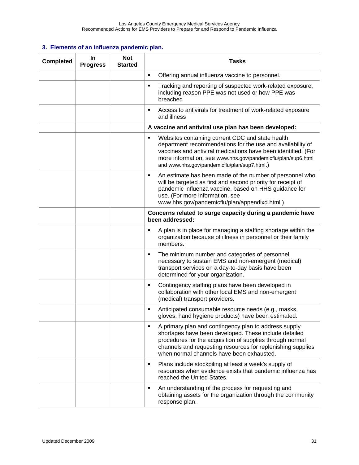| <b>Completed</b> | In<br><b>Progress</b> | <b>Not</b><br><b>Started</b> | <b>Tasks</b>                                                                                                                                                                                                                                                                                         |
|------------------|-----------------------|------------------------------|------------------------------------------------------------------------------------------------------------------------------------------------------------------------------------------------------------------------------------------------------------------------------------------------------|
|                  |                       |                              | Offering annual influenza vaccine to personnel.<br>٠                                                                                                                                                                                                                                                 |
|                  |                       |                              | Tracking and reporting of suspected work-related exposure,<br>٠<br>including reason PPE was not used or how PPE was<br>breached                                                                                                                                                                      |
|                  |                       |                              | Access to antivirals for treatment of work-related exposure<br>٠<br>and illness                                                                                                                                                                                                                      |
|                  |                       |                              | A vaccine and antiviral use plan has been developed:                                                                                                                                                                                                                                                 |
|                  |                       |                              | Websites containing current CDC and state health<br>٠<br>department recommendations for the use and availability of<br>vaccines and antiviral medications have been identified. (For<br>more information, see www.hhs.gov/pandemicflu/plan/sup6.html<br>and www.hhs.gov/pandemicflu/plan/sup7.html.) |
|                  |                       |                              | An estimate has been made of the number of personnel who<br>٠<br>will be targeted as first and second priority for receipt of<br>pandemic influenza vaccine, based on HHS guidance for<br>use. (For more information, see<br>www.hhs.gov/pandemicflu/plan/appendixd.html.)                           |
|                  |                       |                              | Concerns related to surge capacity during a pandemic have<br>been addressed:                                                                                                                                                                                                                         |
|                  |                       |                              | A plan is in place for managing a staffing shortage within the<br>٠<br>organization because of illness in personnel or their family<br>members.                                                                                                                                                      |
|                  |                       |                              | The minimum number and categories of personnel<br>٠<br>necessary to sustain EMS and non-emergent (medical)<br>transport services on a day-to-day basis have been<br>determined for your organization.                                                                                                |
|                  |                       |                              | Contingency staffing plans have been developed in<br>٠<br>collaboration with other local EMS and non-emergent<br>(medical) transport providers.                                                                                                                                                      |
|                  |                       |                              | Anticipated consumable resource needs (e.g., masks,<br>٠<br>gloves, hand hygiene products) have been estimated.                                                                                                                                                                                      |
|                  |                       |                              | A primary plan and contingency plan to address supply<br>٠<br>shortages have been developed. These include detailed<br>procedures for the acquisition of supplies through normal<br>channels and requesting resources for replenishing supplies<br>when normal channels have been exhausted.         |
|                  |                       |                              | Plans include stockpiling at least a week's supply of<br>٠<br>resources when evidence exists that pandemic influenza has<br>reached the United States.                                                                                                                                               |
|                  |                       |                              | An understanding of the process for requesting and<br>٠<br>obtaining assets for the organization through the community<br>response plan.                                                                                                                                                             |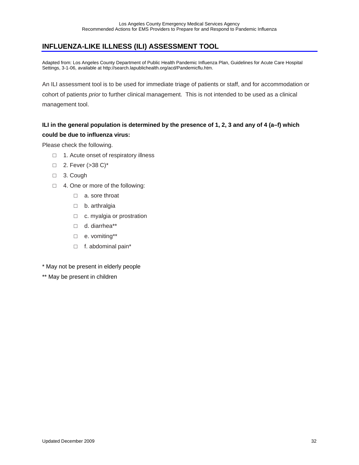# **INFLUENZA-LIKE ILLNESS (ILI) ASSESSMENT TOOL**

Adapted from: Los Angeles County Department of Public Health Pandemic Influenza Plan, Guidelines for Acute Care Hospital Settings, 3-1-06, available at http://search.lapublichealth.org/acd/Pandemicflu.htm.

An ILI assessment tool is to be used for immediate triage of patients or staff, and for accommodation or cohort of patients *prior* to further clinical management. This is not intended to be used as a clinical management tool.

### **ILI in the general population is determined by the presence of 1, 2, 3 and any of 4 (a–f) which could be due to influenza virus:**

Please check the following.

- □ 1. Acute onset of respiratory illness
- □ 2. Fever (>38 C)<sup>\*</sup>
- □ 3. Cough
- □ 4. One or more of the following:
	- □ a. sore throat
	- □ b. arthralgia
	- □ c. myalgia or prostration
	- □ d. diarrhea\*\*
	- □ e. vomiting\*\*
	- □ f. abdominal pain\*
- \* May not be present in elderly people
- \*\* May be present in children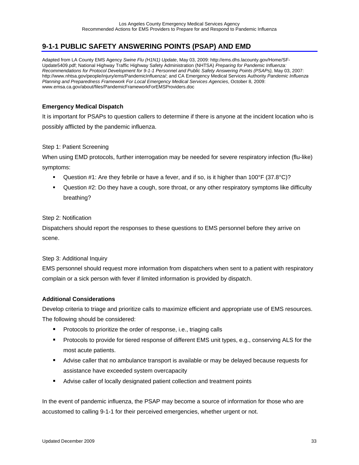# **9-1-1 PUBLIC SAFETY ANSWERING POINTS (PSAP) AND EMD**

Adapted from LA County EMS Agency *Swine Flu (H1N1) Update*, May 03, 2009: http://ems.dhs.lacounty.gov/Home/SF-Update5409.pdf; National Highway Traffic Highway Safety Administration (NHTSA) *Preparing for Pandemic Influenza: Recommendations for Protocol Development for 9-1-1 Personnel and Public Safety Answering Points (PSAPs),* May 03, 2007: http://www.nhtsa.gov/people/injury/ems/PandemicInfluenza/; and CA Emergency Medical Services Authority *Pandemic Influenza Planning and Preparedness Framework For Local Emergency Medical Services Agencies*, October 8, 2009: www.emsa.ca.gov/about/files/PandemicFrameworkForEMSProviders.doc

#### **Emergency Medical Dispatch**

It is important for PSAPs to question callers to determine if there is anyone at the incident location who is possibly afflicted by the pandemic influenza.

#### Step 1: Patient Screening

When using EMD protocols, further interrogation may be needed for severe respiratory infection (flu-like) symptoms:

- **Question #1:** Are they febrile or have a fever, and if so, is it higher than 100°F (37.8°C)?
- Question #2: Do they have a cough, sore throat, or any other respiratory symptoms like difficulty breathing?

#### Step 2: Notification

Dispatchers should report the responses to these questions to EMS personnel before they arrive on scene.

#### Step 3: Additional Inquiry

EMS personnel should request more information from dispatchers when sent to a patient with respiratory complain or a sick person with fever if limited information is provided by dispatch.

#### **Additional Considerations**

Develop criteria to triage and prioritize calls to maximize efficient and appropriate use of EMS resources. The following should be considered:

- **Protocols to prioritize the order of response, i.e., triaging calls**
- **Protocols to provide for tiered response of different EMS unit types, e.g., conserving ALS for the** most acute patients.
- Advise caller that no ambulance transport is available or may be delayed because requests for assistance have exceeded system overcapacity
- **Advise caller of locally designated patient collection and treatment points**

In the event of pandemic influenza, the PSAP may become a source of information for those who are accustomed to calling 9-1-1 for their perceived emergencies, whether urgent or not.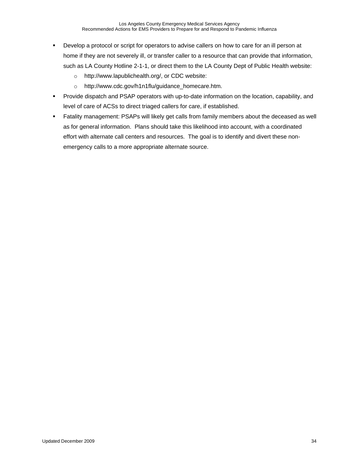- **Develop a protocol or script for operators to advise callers on how to care for an ill person at** home if they are not severely ill, or transfer caller to a resource that can provide that information, such as LA County Hotline 2-1-1, or direct them to the LA County Dept of Public Health website:
	- o http://www.lapublichealth.org/, or CDC website:
	- o http://www.cdc.gov/h1n1flu/guidance\_homecare.htm.
- **Provide dispatch and PSAP operators with up-to-date information on the location, capability, and** level of care of ACSs to direct triaged callers for care, if established.
- Fatality management: PSAPs will likely get calls from family members about the deceased as well as for general information. Plans should take this likelihood into account, with a coordinated effort with alternate call centers and resources. The goal is to identify and divert these nonemergency calls to a more appropriate alternate source.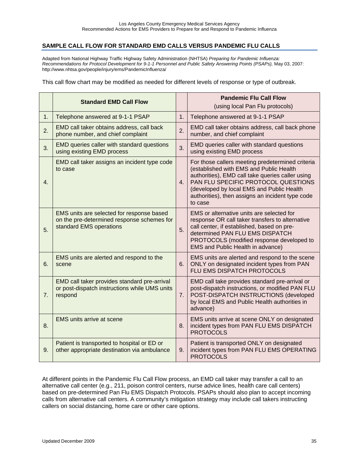### **SAMPLE CALL FLOW FOR STANDARD EMD CALLS VERSUS PANDEMIC FLU CALLS**

Adapted from National Highway Traffic Highway Safety Administration (NHTSA) *Preparing for Pandemic Influenza: Recommendations for Protocol Development for 9-1-1 Personnel and Public Safety Answering Points (PSAPs),* May 03, 2007: http://www.nhtsa.gov/people/injury/ems/PandemicInfluenza/

This call flow chart may be modified as needed for different levels of response or type of outbreak.

|    | <b>Standard EMD Call Flow</b>                                                                                      |    | <b>Pandemic Flu Call Flow</b><br>(using local Pan Flu protocols)                                                                                                                                                                                                                                   |  |
|----|--------------------------------------------------------------------------------------------------------------------|----|----------------------------------------------------------------------------------------------------------------------------------------------------------------------------------------------------------------------------------------------------------------------------------------------------|--|
| 1. | Telephone answered at 9-1-1 PSAP                                                                                   | 1. | Telephone answered at 9-1-1 PSAP                                                                                                                                                                                                                                                                   |  |
| 2. | EMD call taker obtains address, call back<br>phone number, and chief complaint                                     | 2. | EMD call taker obtains address, call back phone<br>number, and chief complaint                                                                                                                                                                                                                     |  |
| 3. | EMD queries caller with standard questions<br>using existing EMD process                                           | 3. | EMD queries caller with standard questions<br>using existing EMD process                                                                                                                                                                                                                           |  |
| 4. | EMD call taker assigns an incident type code<br>to case                                                            | 4. | For those callers meeting predetermined criteria<br>(established with EMS and Public Health<br>authorities), EMD call take queries caller using<br>PAN FLU SPECIFIC PROTOCOL QUESTIONS<br>(developed by local EMS and Public Health<br>authorities), then assigns an incident type code<br>to case |  |
| 5. | EMS units are selected for response based<br>on the pre-determined response schemes for<br>standard EMS operations | 5. | EMS or alternative units are selected for<br>response OR call taker transfers to alternative<br>call center, if established, based on pre-<br>determined PAN FLU EMS DISPATCH<br>PROTOCOLS (modified response developed to<br>EMS and Public Health in advance)                                    |  |
| 6. | EMS units are alerted and respond to the<br>scene                                                                  | 6. | EMS units are alerted and respond to the scene<br>ONLY on designated incident types from PAN<br>FLU EMS DISPATCH PROTOCOLS                                                                                                                                                                         |  |
| 7. | EMD call taker provides standard pre-arrival<br>or post-dispatch instructions while UMS units<br>respond           | 7. | EMD call take provides standard pre-arrival or<br>post-dispatch instructions, or modified PAN FLU<br>POST-DISPATCH INSTRUCTIONS (developed<br>by local EMS and Public Health authorities in<br>advance)                                                                                            |  |
| 8. | <b>EMS</b> units arrive at scene                                                                                   | 8. | EMS units arrive at scene ONLY on designated<br>incident types from PAN FLU EMS DISPATCH<br><b>PROTOCOLS</b>                                                                                                                                                                                       |  |
| 9. | Patient is transported to hospital or ED or<br>other appropriate destination via ambulance                         | 9. | Patient is transported ONLY on designated<br>incident types from PAN FLU EMS OPERATING<br><b>PROTOCOLS</b>                                                                                                                                                                                         |  |

At different points in the Pandemic Flu Call Flow process, an EMD call taker may transfer a call to an alternative call center (e.g., 211, poison control centers, nurse advice lines, health care call centers) based on pre-determined Pan Flu EMS Dispatch Protocols. PSAPs should also plan to accept incoming calls from alternative call centers. A community's mitigation strategy may include call takers instructing callers on social distancing, home care or other care options.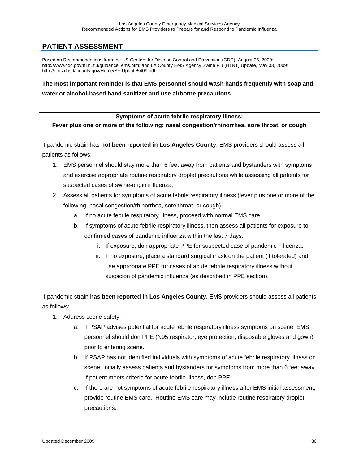## **PATIENT ASSESSMENT**

Based on Recommendations from the US Centers for Disease Control and Prevention (CDC), August 05, 2009: http://www.cdc.gov/h1n1flu/guidance\_ems.htm; and LA County EMS Agency Swine Flu (H1N1) Update, May 03, 2009: http://ems.dhs.lacounty.gov/Home/SF-Update5409.pdf

**The most important reminder is that EMS personnel should wash hands frequently with soap and water or alcohol-based hand sanitizer and use airborne precautions.** 

**Symptoms of acute febrile respiratory illness: Fever plus one or more of the following: nasal congestion/rhinorrhea, sore throat, or cough** 

If pandemic strain has **not been reported in Los Angeles County**, EMS providers should assess all patients as follows:

- 1. EMS personnel should stay more than 6 feet away from patients and bystanders with symptoms and exercise appropriate routine respiratory droplet precautions while assessing all patients for suspected cases of swine-origin influenza.
- 2. Assess all patients for symptoms of acute febrile respiratory illness (fever plus one or more of the following: nasal congestion/rhinorrhea, sore throat, or cough).
	- a. If no acute febrile respiratory illness, proceed with normal EMS care.
	- b. If symptoms of acute febrile respiratory illness, then assess all patients for exposure to confirmed cases of pandemic influenza within the last 7 days.
		- i. If exposure, don appropriate PPE for suspected case of pandemic influenza.
		- ii. If no exposure, place a standard surgical mask on the patient (if tolerated) and use appropriate PPE for cases of acute febrile respiratory illness without suspicion of pandemic influenza (as described in PPE section).

If pandemic strain **has been reported in Los Angeles County**, EMS providers should assess all patients as follows:

- 1. Address scene safety:
	- a. If PSAP advises potential for acute febrile respiratory illness symptoms on scene, EMS personnel should don PPE (N95 respirator, eye protection, disposable gloves and gown) prior to entering scene.
	- b. If PSAP has not identified individuals with symptoms of acute febrile respiratory illness on scene, initially assess patients and bystanders for symptoms from more than 6 feet away. If patient meets criteria for acute febrile illness, don PPE.
	- c. If there are not symptoms of acute febrile respiratory illness after EMS initial assessment, provide routine EMS care. Routine EMS care may include routine respiratory droplet precautions.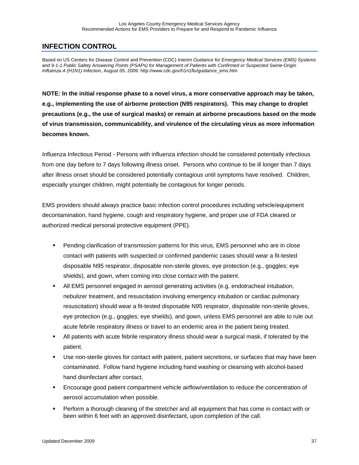## **INFECTION CONTROL**

Based on US Centers for Disease Control and Prevention (CDC) *Interim Guidance for Emergency Medical Services (EMS) Systems and 9-1-1 Public Safety Answering Points (PSAPs) for Management of Patients with Confirmed or Suspected Swine-Origin Influenza A (H1N1) Infection*, August 05, 2009: http://www.cdc.gov/h1n1flu/guidance\_ems.htm

**NOTE: In the initial response phase to a novel virus, a more conservative approach may be taken, e.g., implementing the use of airborne protection (N95 respirators). This may change to droplet precautions (e.g., the use of surgical masks) or remain at airborne precautions based on the mode of virus transmission, communicability, and virulence of the circulating virus as more information becomes known.** 

Influenza Infectious Period - Persons with influenza infection should be considered potentially infectious from one day before to 7 days following illness onset. Persons who continue to be ill longer than 7 days after illness onset should be considered potentially contagious until symptoms have resolved. Children, especially younger children, might potentially be contagious for longer periods.

EMS providers should always practice basic infection control procedures including vehicle/equipment decontamination, hand hygiene, cough and respiratory hygiene, and proper use of FDA cleared or authorized medical personal protective equipment (PPE).

- Pending clarification of transmission patterns for this virus, EMS personnel who are in close contact with patients with suspected or confirmed pandemic cases should wear a fit-tested disposable N95 respirator, disposable non-sterile gloves, eye protection (e.g., goggles; eye shields), and gown, when coming into close contact with the patient.
- All EMS personnel engaged in aerosol generating activities (e.g. endotracheal intubation, nebulizer treatment, and resuscitation involving emergency intubation or cardiac pulmonary resuscitation) should wear a fit-tested disposable N95 respirator, disposable non-sterile gloves, eye protection (e.g., goggles; eye shields), and gown, unless EMS personnel are able to rule out acute febrile respiratory illness or travel to an endemic area in the patient being treated.
- All patients with acute febrile respiratory illness should wear a surgical mask, if tolerated by the patient.
- Use non-sterile gloves for contact with patient, patient secretions, or surfaces that may have been contaminated. Follow hand hygiene including hand washing or cleansing with alcohol-based hand disinfectant after contact.
- Encourage good patient compartment vehicle airflow/ventilation to reduce the concentration of aerosol accumulation when possible.
- **Perform a thorough cleaning of the stretcher and all equipment that has come in contact with or** been within 6 feet with an approved disinfectant, upon completion of the call.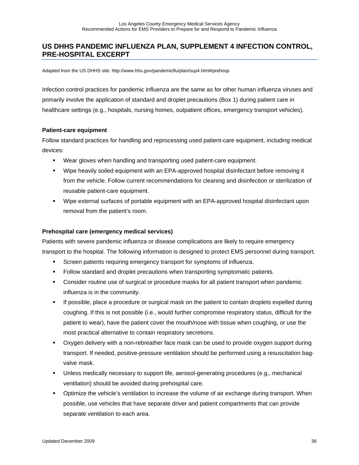### **US DHHS PANDEMIC INFLUENZA PLAN, SUPPLEMENT 4 INFECTION CONTROL, PRE-HOSPITAL EXCERPT**

Adapted from the US DHHS site: http://www.hhs.gov/pandemicflu/plan/sup4.html#prehosp

Infection control practices for pandemic influenza are the same as for other human influenza viruses and primarily involve the application of standard and droplet precautions (Box 1) during patient care in healthcare settings (e.g., hospitals, nursing homes, outpatient offices, emergency transport vehicles).

#### **Patient-care equipment**

Follow standard practices for handling and reprocessing used patient-care equipment, including medical devices:

- Wear gloves when handling and transporting used patient-care equipment.
- Wipe heavily soiled equipment with an EPA-approved hospital disinfectant before removing it from the vehicle. Follow current recommendations for cleaning and disinfection or sterilization of reusable patient-care equipment.
- Wipe external surfaces of portable equipment with an EPA-approved hospital disinfectant upon removal from the patient's room.

#### **Prehospital care (emergency medical services)**

Patients with severe pandemic influenza or disease complications are likely to require emergency transport to the hospital. The following information is designed to protect EMS personnel during transport.

- **Screen patients requiring emergency transport for symptoms of influenza.**
- Follow standard and droplet precautions when transporting symptomatic patients.
- Consider routine use of surgical or procedure masks for all patient transport when pandemic influenza is in the community.
- If possible, place a procedure or surgical mask on the patient to contain droplets expelled during coughing. If this is not possible (i.e., would further compromise respiratory status, difficult for the patient to wear), have the patient cover the mouth/nose with tissue when coughing, or use the most practical alternative to contain respiratory secretions.
- Oxygen delivery with a non-rebreather face mask can be used to provide oxygen support during transport. If needed, positive-pressure ventilation should be performed using a resuscitation bagvalve mask.
- Unless medically necessary to support life, aerosol-generating procedures (e.g., mechanical ventilation) should be avoided during prehospital care.
- Optimize the vehicle's ventilation to increase the volume of air exchange during transport. When possible, use vehicles that have separate driver and patient compartments that can provide separate ventilation to each area.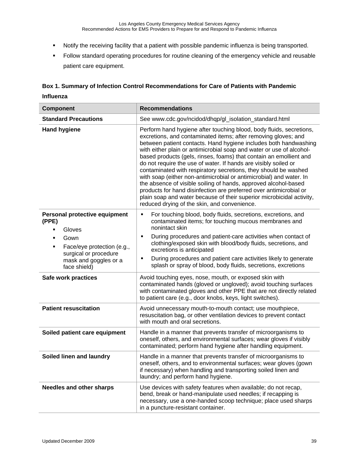- Notify the receiving facility that a patient with possible pandemic influenza is being transported.
- Follow standard operating procedures for routine cleaning of the emergency vehicle and reusable patient care equipment.

### **Box 1. Summary of Infection Control Recommendations for Care of Patients with Pandemic Influenza**

| <b>Component</b>                                                                                                                                                                                            | <b>Recommendations</b>                                                                                                                                                                                                                                                                                                                                                                                                                                                                                                                                                                                                                                                                                                                                                                                                                 |  |  |
|-------------------------------------------------------------------------------------------------------------------------------------------------------------------------------------------------------------|----------------------------------------------------------------------------------------------------------------------------------------------------------------------------------------------------------------------------------------------------------------------------------------------------------------------------------------------------------------------------------------------------------------------------------------------------------------------------------------------------------------------------------------------------------------------------------------------------------------------------------------------------------------------------------------------------------------------------------------------------------------------------------------------------------------------------------------|--|--|
| <b>Standard Precautions</b>                                                                                                                                                                                 | See www.cdc.gov/ncidod/dhqp/gl_isolation_standard.html                                                                                                                                                                                                                                                                                                                                                                                                                                                                                                                                                                                                                                                                                                                                                                                 |  |  |
| <b>Hand hygiene</b>                                                                                                                                                                                         | Perform hand hygiene after touching blood, body fluids, secretions,<br>excretions, and contaminated items; after removing gloves; and<br>between patient contacts. Hand hygiene includes both handwashing<br>with either plain or antimicrobial soap and water or use of alcohol-<br>based products (gels, rinses, foams) that contain an emollient and<br>do not require the use of water. If hands are visibly soiled or<br>contaminated with respiratory secretions, they should be washed<br>with soap (either non-antimicrobial or antimicrobial) and water. In<br>the absence of visible soiling of hands, approved alcohol-based<br>products for hand disinfection are preferred over antimicrobial or<br>plain soap and water because of their superior microbicidal activity,<br>reduced drying of the skin, and convenience. |  |  |
| Personal protective equipment<br>(PPE)<br>Gloves<br>٠<br>Gown<br>$\blacksquare$<br>Face/eye protection (e.g.,<br>٠<br>surgical or procedure<br>mask and goggles or a<br>face shield)<br>Safe work practices | For touching blood, body fluids, secretions, excretions, and<br>٠<br>contaminated items; for touching mucous membranes and<br>nonintact skin<br>During procedures and patient-care activities when contact of<br>٠<br>clothing/exposed skin with blood/body fluids, secretions, and<br>excretions is anticipated<br>During procedures and patient care activities likely to generate<br>٠<br>splash or spray of blood, body fluids, secretions, excretions<br>Avoid touching eyes, nose, mouth, or exposed skin with<br>contaminated hands (gloved or ungloved); avoid touching surfaces                                                                                                                                                                                                                                               |  |  |
|                                                                                                                                                                                                             | with contaminated gloves and other PPE that are not directly related<br>to patient care (e.g., door knobs, keys, light switches).                                                                                                                                                                                                                                                                                                                                                                                                                                                                                                                                                                                                                                                                                                      |  |  |
| <b>Patient resuscitation</b>                                                                                                                                                                                | Avoid unnecessary mouth-to-mouth contact; use mouthpiece,<br>resuscitation bag, or other ventilation devices to prevent contact<br>with mouth and oral secretions.                                                                                                                                                                                                                                                                                                                                                                                                                                                                                                                                                                                                                                                                     |  |  |
| Soiled patient care equipment                                                                                                                                                                               | Handle in a manner that prevents transfer of microorganisms to<br>oneself, others, and environmental surfaces; wear gloves if visibly<br>contaminated; perform hand hygiene after handling equipment.                                                                                                                                                                                                                                                                                                                                                                                                                                                                                                                                                                                                                                  |  |  |
| Soiled linen and laundry                                                                                                                                                                                    | Handle in a manner that prevents transfer of microorganisms to<br>oneself, others, and to environmental surfaces; wear gloves (gown<br>if necessary) when handling and transporting soiled linen and<br>laundry; and perform hand hygiene.                                                                                                                                                                                                                                                                                                                                                                                                                                                                                                                                                                                             |  |  |
| <b>Needles and other sharps</b>                                                                                                                                                                             | Use devices with safety features when available; do not recap,<br>bend, break or hand-manipulate used needles; if recapping is<br>necessary, use a one-handed scoop technique; place used sharps<br>in a puncture-resistant container.                                                                                                                                                                                                                                                                                                                                                                                                                                                                                                                                                                                                 |  |  |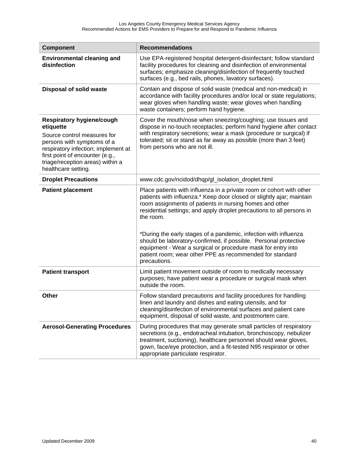| <b>Component</b>                                                                                                                                                                                                                         | <b>Recommendations</b>                                                                                                                                                                                                                                                                                                                                                                                                                                                                                                                                                             |  |
|------------------------------------------------------------------------------------------------------------------------------------------------------------------------------------------------------------------------------------------|------------------------------------------------------------------------------------------------------------------------------------------------------------------------------------------------------------------------------------------------------------------------------------------------------------------------------------------------------------------------------------------------------------------------------------------------------------------------------------------------------------------------------------------------------------------------------------|--|
| <b>Environmental cleaning and</b><br>disinfection                                                                                                                                                                                        | Use EPA-registered hospital detergent-disinfectant; follow standard<br>facility procedures for cleaning and disinfection of environmental<br>surfaces; emphasize cleaning/disinfection of frequently touched<br>surfaces (e.g., bed rails, phones, lavatory surfaces).                                                                                                                                                                                                                                                                                                             |  |
| <b>Disposal of solid waste</b>                                                                                                                                                                                                           | Contain and dispose of solid waste (medical and non-medical) in<br>accordance with facility procedures and/or local or state regulations;<br>wear gloves when handling waste; wear gloves when handling<br>waste containers; perform hand hygiene.                                                                                                                                                                                                                                                                                                                                 |  |
| Respiratory hygiene/cough<br>etiquette<br>Source control measures for<br>persons with symptoms of a<br>respiratory infection; implement at<br>first point of encounter (e.g.,<br>triage/reception areas) within a<br>healthcare setting. | Cover the mouth/nose when sneezing/coughing; use tissues and<br>dispose in no-touch receptacles; perform hand hygiene after contact<br>with respiratory secretions; wear a mask (procedure or surgical) if<br>tolerated; sit or stand as far away as possible (more than 3 feet)<br>from persons who are not ill.                                                                                                                                                                                                                                                                  |  |
| <b>Droplet Precautions</b>                                                                                                                                                                                                               | www.cdc.gov/ncidod/dhqp/gl_isolation_droplet.html                                                                                                                                                                                                                                                                                                                                                                                                                                                                                                                                  |  |
| <b>Patient placement</b>                                                                                                                                                                                                                 | Place patients with influenza in a private room or cohort with other<br>patients with influenza.* Keep door closed or slightly ajar; maintain<br>room assignments of patients in nursing homes and other<br>residential settings; and apply droplet precautions to all persons in<br>the room.<br>*During the early stages of a pandemic, infection with influenza<br>should be laboratory-confirmed, if possible. Personal protective<br>equipment - Wear a surgical or procedure mask for entry into<br>patient room; wear other PPE as recommended for standard<br>precautions. |  |
| <b>Patient transport</b>                                                                                                                                                                                                                 | Limit patient movement outside of room to medically necessary<br>purposes; have patient wear a procedure or surgical mask when<br>outside the room.                                                                                                                                                                                                                                                                                                                                                                                                                                |  |
| Other                                                                                                                                                                                                                                    | Follow standard precautions and facility procedures for handling<br>linen and laundry and dishes and eating utensils, and for<br>cleaning/disinfection of environmental surfaces and patient care<br>equipment, disposal of solid waste, and postmortem care.                                                                                                                                                                                                                                                                                                                      |  |
| <b>Aerosol-Generating Procedures</b>                                                                                                                                                                                                     | During procedures that may generate small particles of respiratory<br>secretions (e.g., endotracheal intubation, bronchoscopy, nebulizer<br>treatment, suctioning), healthcare personnel should wear gloves,<br>gown, face/eye protection, and a fit-tested N95 respirator or other<br>appropriate particulate respirator.                                                                                                                                                                                                                                                         |  |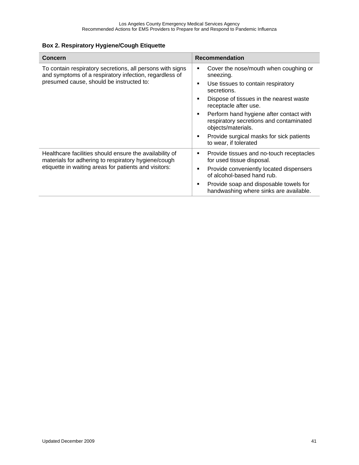### **Box 2. Respiratory Hygiene/Cough Etiquette**

| <b>Concern</b>                                                                                                                                                          | <b>Recommendation</b>                                                                                                                                                                                                                                                                                                                                                                                           |
|-------------------------------------------------------------------------------------------------------------------------------------------------------------------------|-----------------------------------------------------------------------------------------------------------------------------------------------------------------------------------------------------------------------------------------------------------------------------------------------------------------------------------------------------------------------------------------------------------------|
| To contain respiratory secretions, all persons with signs<br>and symptoms of a respiratory infection, regardless of<br>presumed cause, should be instructed to:         | Cover the nose/mouth when coughing or<br>٠<br>sneezing.<br>Use tissues to contain respiratory<br>$\blacksquare$<br>secretions.<br>Dispose of tissues in the nearest waste<br>$\blacksquare$<br>receptacle after use.<br>Perform hand hygiene after contact with<br>п<br>respiratory secretions and contaminated<br>objects/materials.<br>Provide surgical masks for sick patients<br>٠<br>to wear, if tolerated |
| Healthcare facilities should ensure the availability of<br>materials for adhering to respiratory hygiene/cough<br>etiquette in waiting areas for patients and visitors: | Provide tissues and no-touch receptacles<br>٠<br>for used tissue disposal.<br>Provide conveniently located dispensers<br>п<br>of alcohol-based hand rub.<br>Provide soap and disposable towels for<br>٠<br>handwashing where sinks are available.                                                                                                                                                               |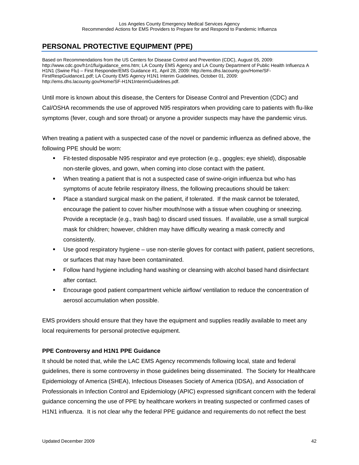# **PERSONAL PROTECTIVE EQUIPMENT (PPE)**

Based on Recommendations from the US Centers for Disease Control and Prevention (CDC), August 05, 2009: http://www.cdc.gov/h1n1flu/guidance\_ems.htm; LA County EMS Agency and LA County Department of Public Health Influenza A H1N1 (Swine Flu) – First Responder/EMS Guidance #1, April 28, 2009: http://ems.dhs.lacounty.gov/Home/SF-FirstRespGuidance1.pdf; LA County EMS Agency H1N1 Interim Guidelines, October 01, 2009: http://ems.dhs.lacounty.gov/Home/SF-H1N1InterimGuidelines.pdf.

Until more is known about this disease, the Centers for Disease Control and Prevention (CDC) and Cal/OSHA recommends the use of approved N95 respirators when providing care to patients with flu-like symptoms (fever, cough and sore throat) or anyone a provider suspects may have the pandemic virus.

When treating a patient with a suspected case of the novel or pandemic influenza as defined above, the following PPE should be worn:

- Fit-tested disposable N95 respirator and eye protection (e.g., goggles; eye shield), disposable non-sterile gloves, and gown, when coming into close contact with the patient.
- When treating a patient that is not a suspected case of swine-origin influenza but who has symptoms of acute febrile respiratory illness, the following precautions should be taken:
- Place a standard surgical mask on the patient, if tolerated. If the mask cannot be tolerated, encourage the patient to cover his/her mouth/nose with a tissue when coughing or sneezing. Provide a receptacle (e.g., trash bag) to discard used tissues. If available, use a small surgical mask for children; however, children may have difficulty wearing a mask correctly and consistently.
- Use good respiratory hygiene use non-sterile gloves for contact with patient, patient secretions, or surfaces that may have been contaminated.
- Follow hand hygiene including hand washing or cleansing with alcohol based hand disinfectant after contact.
- Encourage good patient compartment vehicle airflow/ ventilation to reduce the concentration of aerosol accumulation when possible.

EMS providers should ensure that they have the equipment and supplies readily available to meet any local requirements for personal protective equipment.

### **PPE Controversy and H1N1 PPE Guidance**

It should be noted that, while the LAC EMS Agency recommends following local, state and federal guidelines, there is some controversy in those guidelines being disseminated. The Society for Healthcare Epidemiology of America (SHEA), Infectious Diseases Society of America (IDSA), and Association of Professionals in Infection Control and Epidemiology (APIC) expressed significant concern with the federal guidance concerning the use of PPE by healthcare workers in treating suspected or confirmed cases of H1N1 influenza. It is not clear why the federal PPE guidance and requirements do not reflect the best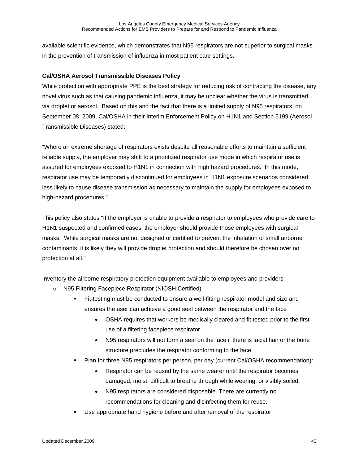available scientific evidence, which demonstrates that N95 respirators are not superior to surgical masks in the prevention of transmission of influenza in most patient care settings.

### **Cal/OSHA Aerosol Transmissible Diseases Policy**

While protection with appropriate PPE is the best strategy for reducing risk of contracting the disease, any novel virus such as that causing pandemic influenza, it may be unclear whether the virus is transmitted via droplet or aerosol. Based on this and the fact that there is a limited supply of N95 respirators, on September 08, 2009, Cal/OSHA in their Interim Enforcement Policy on H1N1 and Section 5199 (Aerosol Transmissible Diseases) stated:

"Where an extreme shortage of respirators exists despite all reasonable efforts to maintain a sufficient reliable supply, the employer may shift to a prioritized respirator use mode in which respirator use is assured for employees exposed to H1N1 in connection with high hazard procedures. In this mode, respirator use may be temporarily discontinued for employees in H1N1 exposure scenarios considered less likely to cause disease transmission as necessary to maintain the supply for employees exposed to high-hazard procedures."

This policy also states "If the employer is unable to provide a respirator to employees who provide care to H1N1 suspected and confirmed cases, the employer should provide those employees with surgical masks. While surgical masks are not designed or certified to prevent the inhalation of small airborne contaminants, it is likely they will provide droplet protection and should therefore be chosen over no protection at all."

Inventory the airborne respiratory protection equipment available to employees and providers:

- o N95 Filtering Facepiece Respirator (NIOSH Certified)
	- Fit-testing must be conducted to ensure a well-fitting respirator model and size and ensures the user can achieve a good seal between the respirator and the face
		- OSHA requires that workers be medically cleared and fit tested prior to the first use of a filtering facepiece respirator.
		- N95 respirators will not form a seal on the face if there is facial hair or the bone structure precludes the respirator conforming to the face.
	- Plan for three N95 respirators per person, per day (current Cal/OSHA recommendation):
		- Respirator can be reused by the same wearer until the respirator becomes damaged, moist, difficult to breathe through while wearing, or visibly soiled.
		- N95 respirators are considered disposable. There are currently no recommendations for cleaning and disinfecting them for reuse.
	- Use appropriate hand hygiene before and after removal of the respirator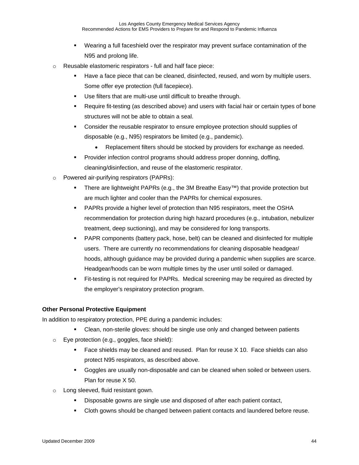- Wearing a full faceshield over the respirator may prevent surface contamination of the N95 and prolong life.
- o Reusable elastomeric respirators full and half face piece:
	- Have a face piece that can be cleaned, disinfected, reused, and worn by multiple users. Some offer eye protection (full facepiece).
	- Use filters that are multi-use until difficult to breathe through.
	- Require fit-testing (as described above) and users with facial hair or certain types of bone structures will not be able to obtain a seal.
	- Consider the reusable respirator to ensure employee protection should supplies of disposable (e.g., N95) respirators be limited (e.g., pandemic).
		- Replacement filters should be stocked by providers for exchange as needed.
	- Provider infection control programs should address proper donning, doffing, cleaning/disinfection, and reuse of the elastomeric respirator.
- o Powered air-purifying respirators (PAPRs):
	- There are lightweight PAPRs (e.g., the 3M Breathe Easy™) that provide protection but are much lighter and cooler than the PAPRs for chemical exposures.
	- PAPRs provide a higher level of protection than N95 respirators, meet the OSHA recommendation for protection during high hazard procedures (e.g., intubation, nebulizer treatment, deep suctioning), and may be considered for long transports.
	- PAPR components (battery pack, hose, belt) can be cleaned and disinfected for multiple users. There are currently no recommendations for cleaning disposable headgear/ hoods, although guidance may be provided during a pandemic when supplies are scarce. Headgear/hoods can be worn multiple times by the user until soiled or damaged.
	- Fit-testing is not required for PAPRs. Medical screening may be required as directed by the employer's respiratory protection program.

### **Other Personal Protective Equipment**

In addition to respiratory protection, PPE during a pandemic includes:

- Clean, non-sterile gloves: should be single use only and changed between patients
- o Eye protection (e.g., goggles, face shield):
	- Face shields may be cleaned and reused. Plan for reuse X 10. Face shields can also protect N95 respirators, as described above.
	- Goggles are usually non-disposable and can be cleaned when soiled or between users. Plan for reuse X 50.
- o Long sleeved, fluid resistant gown.
	- **Disposable gowns are single use and disposed of after each patient contact,**
	- Cloth gowns should be changed between patient contacts and laundered before reuse.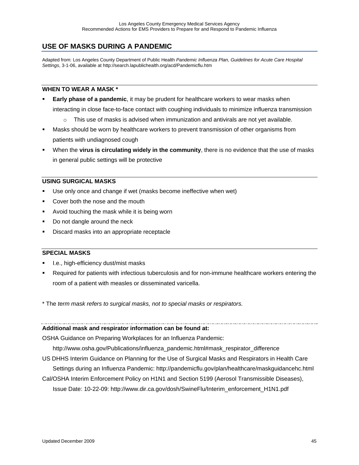## **USE OF MASKS DURING A PANDEMIC**

Adapted from: Los Angeles County Department of Public Health *Pandemic Influenza Plan, Guidelines for Acute Care Hospital Settings*, 3-1-06, available at http://search.lapublichealth.org/acd/Pandemicflu.htm

#### **WHEN TO WEAR A MASK \***

- **Early phase of a pandemic**, it may be prudent for healthcare workers to wear masks when interacting in close face-to-face contact with coughing individuals to minimize influenza transmission
	- $\circ$  This use of masks is advised when immunization and antivirals are not yet available.
- Masks should be worn by healthcare workers to prevent transmission of other organisms from patients with undiagnosed cough
- When the **virus is circulating widely in the community**, there is no evidence that the use of masks in general public settings will be protective

#### **USING SURGICAL MASKS**

- Use only once and change if wet (masks become ineffective when wet)
- Cover both the nose and the mouth
- Avoid touching the mask while it is being worn
- Do not dangle around the neck
- Discard masks into an appropriate receptacle

#### **SPECIAL MASKS**

- I.e., high-efficiency dust/mist masks
- Required for patients with infectious tuberculosis and for non-immune healthcare workers entering the room of a patient with measles or disseminated varicella.

\* The *term mask refers to surgical masks, not to special masks or respirators.*

#### **Additional mask and respirator information can be found at:**

OSHA Guidance on Preparing Workplaces for an Influenza Pandemic:

http://www.osha.gov/Publications/influenza\_pandemic.html#mask\_respirator\_difference

- US DHHS Interim Guidance on Planning for the Use of Surgical Masks and Respirators in Health Care Settings during an Influenza Pandemic: http://pandemicflu.gov/plan/healthcare/maskguidancehc.html
- Cal/OSHA Interim Enforcement Policy on H1N1 and Section 5199 (Aerosol Transmissible Diseases), Issue Date: 10-22-09: http://www.dir.ca.gov/dosh/SwineFlu/Interim\_enforcement\_H1N1.pdf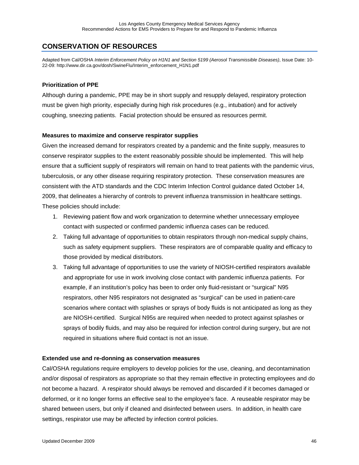## **CONSERVATION OF RESOURCES**

Adapted from Cal/OSHA *Interim Enforcement Policy on H1N1 and Section 5199 (Aerosol Transmissible Diseases)*, Issue Date: 10- 22-09: http://www.dir.ca.gov/dosh/SwineFlu/Interim\_enforcement\_H1N1.pdf

#### **Prioritization of PPE**

Although during a pandemic, PPE may be in short supply and resupply delayed, respiratory protection must be given high priority, especially during high risk procedures (e.g., intubation) and for actively coughing, sneezing patients. Facial protection should be ensured as resources permit.

#### **Measures to maximize and conserve respirator supplies**

Given the increased demand for respirators created by a pandemic and the finite supply, measures to conserve respirator supplies to the extent reasonably possible should be implemented. This will help ensure that a sufficient supply of respirators will remain on hand to treat patients with the pandemic virus, tuberculosis, or any other disease requiring respiratory protection. These conservation measures are consistent with the ATD standards and the CDC Interim Infection Control guidance dated October 14, 2009, that delineates a hierarchy of controls to prevent influenza transmission in healthcare settings. These policies should include:

- 1. Reviewing patient flow and work organization to determine whether unnecessary employee contact with suspected or confirmed pandemic influenza cases can be reduced.
- 2. Taking full advantage of opportunities to obtain respirators through non-medical supply chains, such as safety equipment suppliers. These respirators are of comparable quality and efficacy to those provided by medical distributors.
- 3. Taking full advantage of opportunities to use the variety of NIOSH-certified respirators available and appropriate for use in work involving close contact with pandemic influenza patients. For example, if an institution's policy has been to order only fluid-resistant or "surgical" N95 respirators, other N95 respirators not designated as "surgical" can be used in patient-care scenarios where contact with splashes or sprays of body fluids is not anticipated as long as they are NIOSH-certified. Surgical N95s are required when needed to protect against splashes or sprays of bodily fluids, and may also be required for infection control during surgery, but are not required in situations where fluid contact is not an issue.

#### **Extended use and re-donning as conservation measures**

Cal/OSHA regulations require employers to develop policies for the use, cleaning, and decontamination and/or disposal of respirators as appropriate so that they remain effective in protecting employees and do not become a hazard. A respirator should always be removed and discarded if it becomes damaged or deformed, or it no longer forms an effective seal to the employee's face. A reuseable respirator may be shared between users, but only if cleaned and disinfected between users. In addition, in health care settings, respirator use may be affected by infection control policies.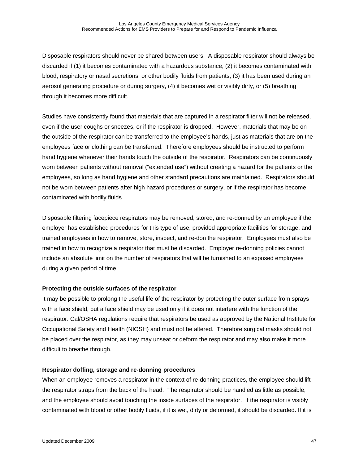Disposable respirators should never be shared between users. A disposable respirator should always be discarded if (1) it becomes contaminated with a hazardous substance, (2) it becomes contaminated with blood, respiratory or nasal secretions, or other bodily fluids from patients, (3) it has been used during an aerosol generating procedure or during surgery, (4) it becomes wet or visibly dirty, or (5) breathing through it becomes more difficult.

Studies have consistently found that materials that are captured in a respirator filter will not be released, even if the user coughs or sneezes, or if the respirator is dropped. However, materials that may be on the outside of the respirator can be transferred to the employee's hands, just as materials that are on the employees face or clothing can be transferred. Therefore employees should be instructed to perform hand hygiene whenever their hands touch the outside of the respirator. Respirators can be continuously worn between patients without removal ("extended use") without creating a hazard for the patients or the employees, so long as hand hygiene and other standard precautions are maintained. Respirators should not be worn between patients after high hazard procedures or surgery, or if the respirator has become contaminated with bodily fluids.

Disposable filtering facepiece respirators may be removed, stored, and re-donned by an employee if the employer has established procedures for this type of use, provided appropriate facilities for storage, and trained employees in how to remove, store, inspect, and re-don the respirator. Employees must also be trained in how to recognize a respirator that must be discarded. Employer re-donning policies cannot include an absolute limit on the number of respirators that will be furnished to an exposed employees during a given period of time.

#### **Protecting the outside surfaces of the respirator**

It may be possible to prolong the useful life of the respirator by protecting the outer surface from sprays with a face shield, but a face shield may be used only if it does not interfere with the function of the respirator. Cal/OSHA regulations require that respirators be used as approved by the National Institute for Occupational Safety and Health (NIOSH) and must not be altered. Therefore surgical masks should not be placed over the respirator, as they may unseat or deform the respirator and may also make it more difficult to breathe through.

#### **Respirator doffing, storage and re-donning procedures**

When an employee removes a respirator in the context of re-donning practices, the employee should lift the respirator straps from the back of the head. The respirator should be handled as little as possible, and the employee should avoid touching the inside surfaces of the respirator. If the respirator is visibly contaminated with blood or other bodily fluids, if it is wet, dirty or deformed, it should be discarded. If it is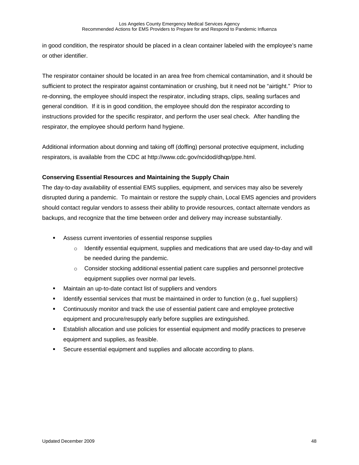in good condition, the respirator should be placed in a clean container labeled with the employee's name or other identifier.

The respirator container should be located in an area free from chemical contamination, and it should be sufficient to protect the respirator against contamination or crushing, but it need not be "airtight." Prior to re-donning, the employee should inspect the respirator, including straps, clips, sealing surfaces and general condition. If it is in good condition, the employee should don the respirator according to instructions provided for the specific respirator, and perform the user seal check. After handling the respirator, the employee should perform hand hygiene.

Additional information about donning and taking off (doffing) personal protective equipment, including respirators, is available from the CDC at http://www.cdc.gov/ncidod/dhqp/ppe.html.

### **Conserving Essential Resources and Maintaining the Supply Chain**

The day-to-day availability of essential EMS supplies, equipment, and services may also be severely disrupted during a pandemic. To maintain or restore the supply chain, Local EMS agencies and providers should contact regular vendors to assess their ability to provide resources, contact alternate vendors as backups, and recognize that the time between order and delivery may increase substantially.

- Assess current inventories of essential response supplies
	- $\circ$  Identify essential equipment, supplies and medications that are used day-to-day and will be needed during the pandemic.
	- o Consider stocking additional essential patient care supplies and personnel protective equipment supplies over normal par levels.
- Maintain an up-to-date contact list of suppliers and vendors
- **IDENTIFY EXTERNATE:** Identify essential services that must be maintained in order to function (e.g., fuel suppliers)
- Continuously monitor and track the use of essential patient care and employee protective equipment and procure/resupply early before supplies are extinguished.
- Establish allocation and use policies for essential equipment and modify practices to preserve equipment and supplies, as feasible.
- Secure essential equipment and supplies and allocate according to plans.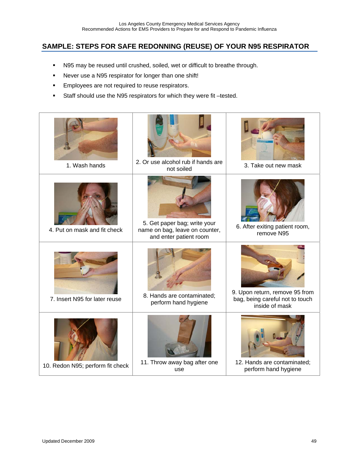## **SAMPLE: STEPS FOR SAFE REDONNING (REUSE) OF YOUR N95 RESPIRATOR**

- N95 may be reused until crushed, soiled, wet or difficult to breathe through.
- Never use a N95 respirator for longer than one shift!
- **Employees are not required to reuse respirators.**
- Staff should use the N95 respirators for which they were fit –tested.

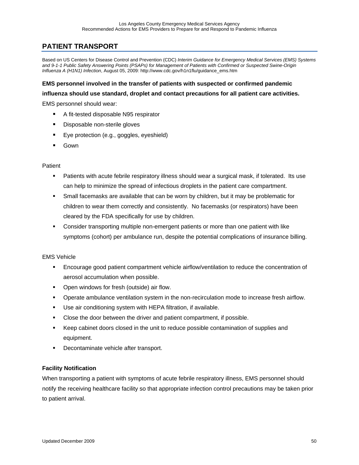# **PATIENT TRANSPORT**

Based on US Centers for Disease Control and Prevention (CDC) *Interim Guidance for Emergency Medical Services (EMS) Systems and 9-1-1 Public Safety Answering Points (PSAPs) for Management of Patients with Confirmed or Suspected Swine-Origin Influenza A (H1N1) Infection*, August 05, 2009: http://www.cdc.gov/h1n1flu/guidance\_ems.htm

### **EMS personnel involved in the transfer of patients with suspected or confirmed pandemic**

**influenza should use standard, droplet and contact precautions for all patient care activities.** 

EMS personnel should wear:

- A fit-tested disposable N95 respirator
- **Disposable non-sterile gloves**
- **Eye protection (e.g., goggles, eyeshield)**
- Gown

#### Patient

- Patients with acute febrile respiratory illness should wear a surgical mask, if tolerated. Its use can help to minimize the spread of infectious droplets in the patient care compartment.
- Small facemasks are available that can be worn by children, but it may be problematic for children to wear them correctly and consistently. No facemasks (or respirators) have been cleared by the FDA specifically for use by children.
- Consider transporting multiple non-emergent patients or more than one patient with like symptoms (cohort) per ambulance run, despite the potential complications of insurance billing.

### EMS Vehicle

- Encourage good patient compartment vehicle airflow/ventilation to reduce the concentration of aerosol accumulation when possible.
- **•** Open windows for fresh (outside) air flow.
- **•** Operate ambulance ventilation system in the non-recirculation mode to increase fresh airflow.
- Use air conditioning system with HEPA filtration, if available.
- Close the door between the driver and patient compartment, if possible.
- Keep cabinet doors closed in the unit to reduce possible contamination of supplies and equipment.
- **Decontaminate vehicle after transport.**

### **Facility Notification**

When transporting a patient with symptoms of acute febrile respiratory illness, EMS personnel should notify the receiving healthcare facility so that appropriate infection control precautions may be taken prior to patient arrival.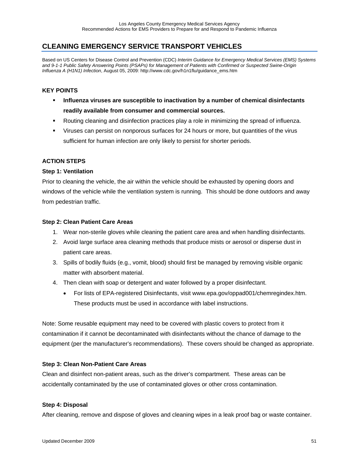## **CLEANING EMERGENCY SERVICE TRANSPORT VEHICLES**

Based on US Centers for Disease Control and Prevention (CDC) *Interim Guidance for Emergency Medical Services (EMS) Systems and 9-1-1 Public Safety Answering Points (PSAPs) for Management of Patients with Confirmed or Suspected Swine-Origin Influenza A (H1N1) Infection*, August 05, 2009: http://www.cdc.gov/h1n1flu/guidance\_ems.htm

### **KEY POINTS**

- **Influenza viruses are susceptible to inactivation by a number of chemical disinfectants readily available from consumer and commercial sources.**
- Routing cleaning and disinfection practices play a role in minimizing the spread of influenza.
- Viruses can persist on nonporous surfaces for 24 hours or more, but quantities of the virus sufficient for human infection are only likely to persist for shorter periods.

### **ACTION STEPS**

### **Step 1: Ventilation**

Prior to cleaning the vehicle, the air within the vehicle should be exhausted by opening doors and windows of the vehicle while the ventilation system is running. This should be done outdoors and away from pedestrian traffic.

#### **Step 2: Clean Patient Care Areas**

- 1. Wear non-sterile gloves while cleaning the patient care area and when handling disinfectants.
- 2. Avoid large surface area cleaning methods that produce mists or aerosol or disperse dust in patient care areas.
- 3. Spills of bodily fluids (e.g., vomit, blood) should first be managed by removing visible organic matter with absorbent material.
- 4. Then clean with soap or detergent and water followed by a proper disinfectant.
	- For lists of EPA-registered Disinfectants, visit www.epa.gov/oppad001/chemregindex.htm. These products must be used in accordance with label instructions.

Note: Some reusable equipment may need to be covered with plastic covers to protect from it contamination if it cannot be decontaminated with disinfectants without the chance of damage to the equipment (per the manufacturer's recommendations). These covers should be changed as appropriate.

### **Step 3: Clean Non-Patient Care Areas**

Clean and disinfect non-patient areas, such as the driver's compartment. These areas can be accidentally contaminated by the use of contaminated gloves or other cross contamination.

### **Step 4: Disposal**

After cleaning, remove and dispose of gloves and cleaning wipes in a leak proof bag or waste container.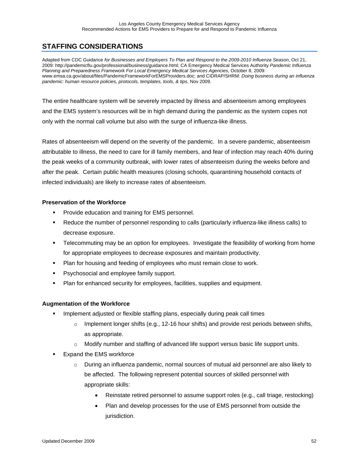# **STAFFING CONSIDERATIONS**

Adapted from CDC Guidance *for Businesses and Employers To Plan and Respond to the 2009-2010 Influenza Season*, Oct 21, 2009: http://pandemicflu.gov/professional/business/guidance.html; CA Emergency Medical Services Authority *Pandemic Influenza Planning and Preparedness Framework For Local Emergency Medical Services Agencies*, October 8, 2009: www.emsa.ca.gov/about/files/PandemicFrameworkForEMSProviders.doc; and CIDRAP/SHRM: *Doing business during an influenza pandemic: human resource policies, protocols, templates, tools, & tips*, Nov 2009.

The entire healthcare system will be severely impacted by illness and absenteeism among employees and the EMS system's resources will be in high demand during the pandemic as the system copes not only with the normal call volume but also with the surge of influenza-like illness.

Rates of absenteeism will depend on the severity of the pandemic. In a severe pandemic, absenteeism attributable to illness, the need to care for ill family members, and fear of infection may reach 40% during the peak weeks of a community outbreak, with lower rates of absenteeism during the weeks before and after the peak. Certain public health measures (closing schools, quarantining household contacts of infected individuals) are likely to increase rates of absenteeism.

### **Preservation of the Workforce**

- **Provide education and training for EMS personnel.**
- Reduce the number of personnel responding to calls (particularly influenza-like illness calls) to decrease exposure.
- Telecommuting may be an option for employees. Investigate the feasibility of working from home for appropriate employees to decrease exposures and maintain productivity.
- Plan for housing and feeding of employees who must remain close to work.
- **Psychosocial and employee family support.**
- Plan for enhanced security for employees, facilities, supplies and equipment.

### **Augmentation of the Workforce**

- Implement adjusted or flexible staffing plans, especially during peak call times
	- $\circ$  Implement longer shifts (e.g., 12-16 hour shifts) and provide rest periods between shifts, as appropriate.
	- $\circ$  Modify number and staffing of advanced life support versus basic life support units.
- Expand the EMS workforce
	- $\circ$  During an influenza pandemic, normal sources of mutual aid personnel are also likely to be affected. The following represent potential sources of skilled personnel with appropriate skills:
		- Reinstate retired personnel to assume support roles (e.g., call triage, restocking)
		- Plan and develop processes for the use of EMS personnel from outside the jurisdiction.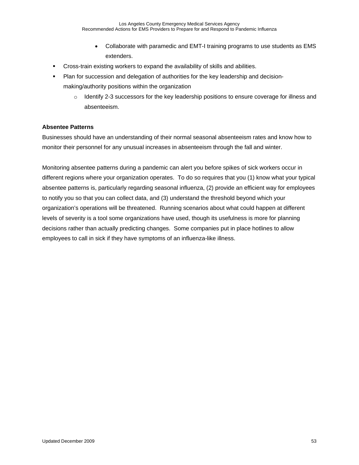- Collaborate with paramedic and EMT-I training programs to use students as EMS extenders.
- Cross-train existing workers to expand the availability of skills and abilities.
- Plan for succession and delegation of authorities for the key leadership and decisionmaking/authority positions within the organization
	- $\circ$  Identify 2-3 successors for the key leadership positions to ensure coverage for illness and absenteeism.

### **Absentee Patterns**

Businesses should have an understanding of their normal seasonal absenteeism rates and know how to monitor their personnel for any unusual increases in absenteeism through the fall and winter.

Monitoring absentee patterns during a pandemic can alert you before spikes of sick workers occur in different regions where your organization operates. To do so requires that you (1) know what your typical absentee patterns is, particularly regarding seasonal influenza, (2) provide an efficient way for employees to notify you so that you can collect data, and (3) understand the threshold beyond which your organization's operations will be threatened. Running scenarios about what could happen at different levels of severity is a tool some organizations have used, though its usefulness is more for planning decisions rather than actually predicting changes. Some companies put in place hotlines to allow employees to call in sick if they have symptoms of an influenza-like illness.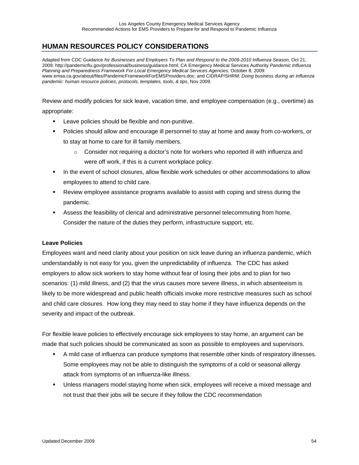# **HUMAN RESOURCES POLICY CONSIDERATIONS**

Adapted from CDC Guidance *for Businesses and Employers To Plan and Respond to the 2009-2010 Influenza Season*, Oct 21, 2009: http://pandemicflu.gov/professional/business/guidance.html; CA Emergency Medical Services Authority *Pandemic Influenza Planning and Preparedness Framework For Local Emergency Medical Services Agencies*, October 8, 2009: www.emsa.ca.gov/about/files/PandemicFrameworkForEMSProviders.doc; and CIDRAP/SHRM: *Doing business during an influenza pandemic: human resource policies, protocols, templates, tools, & tips*, Nov 2009.

Review and modify policies for sick leave, vacation time, and employee compensation (e.g., overtime) as

appropriate:

- **EXEC** Leave policies should be flexible and non-punitive.
- Policies should allow and encourage ill personnel to stay at home and away from co-workers, or to stay at home to care for ill family members.
	- $\circ$  Consider not requiring a doctor's note for workers who reported ill with influenza and were off work, if this is a current workplace policy.
- In the event of school closures, allow flexible work schedules or other accommodations to allow employees to attend to child care.
- Review employee assistance programs available to assist with coping and stress during the pandemic.
- Assess the feasibility of clerical and administrative personnel telecommuting from home. Consider the nature of the duties they perform, infrastructure support, etc.

### **Leave Policies**

Employees want and need clarity about your position on sick leave during an influenza pandemic, which understandably is not easy for you, given the unpredictability of influenza. The CDC has asked employers to allow sick workers to stay home without fear of losing their jobs and to plan for two scenarios: (1) mild illness, and (2) that the virus causes more severe illness, in which absenteeism is likely to be more widespread and public health officials invoke more restrictive measures such as school and child care closures. How long they may need to stay home if they have influenza depends on the severity and impact of the outbreak.

For flexible leave policies to effectively encourage sick employees to stay home, an argument can be made that such policies should be communicated as soon as possible to employees and supervisors.

- A mild case of influenza can produce symptoms that resemble other kinds of respiratory illnesses. Some employees may not be able to distinguish the symptoms of a cold or seasonal allergy attack from symptoms of an influenza-like illness.
- Unless managers model staying home when sick, employees will receive a mixed message and not trust that their jobs will be secure if they follow the CDC recommendation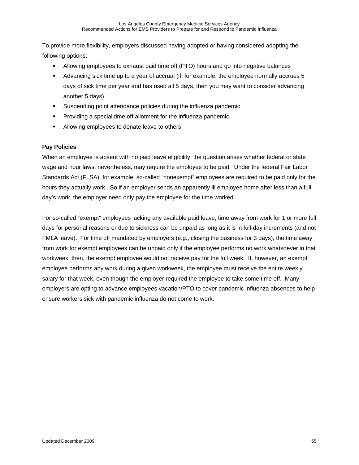To provide more flexibility, employers discussed having adopted or having considered adopting the following options:

- Allowing employees to exhaust paid time off (PTO) hours and go into negative balances
- Advancing sick time up to a year of accrual (if, for example, the employee normally accrues 5 days of sick time per year and has used all 5 days, then you may want to consider advancing another 5 days)
- **Suspending point attendance policies during the influenza pandemic**
- **Providing a special time off allotment for the influenza pandemic**
- Allowing employees to donate leave to others

### **Pay Policies**

When an employee is absent with no paid leave eligibility, the question arises whether federal or state wage and hour laws, nevertheless, may require the employee to be paid. Under the federal Fair Labor Standards Act (FLSA), for example, so-called "nonexempt" employees are required to be paid only for the hours they actually work. So if an employer sends an apparently ill employee home after less than a full day's work, the employer need only pay the employee for the time worked.

For so-called "exempt" employees lacking any available paid leave, time away from work for 1 or more full days for personal reasons or due to sickness can be unpaid as long as it is in full-day increments (and not FMLA leave). For time off mandated by employers (e.g., closing the business for 3 days), the time away from work for exempt employees can be unpaid only if the employee performs no work whatsoever in that workweek; then, the exempt employee would not receive pay for the full week. If, however, an exempt employee performs any work during a given workweek, the employee must receive the entire weekly salary for that week, even though the employer required the employee to take some time off. Many employers are opting to advance employees vacation/PTO to cover pandemic influenza absences to help ensure workers sick with pandemic influenza do not come to work.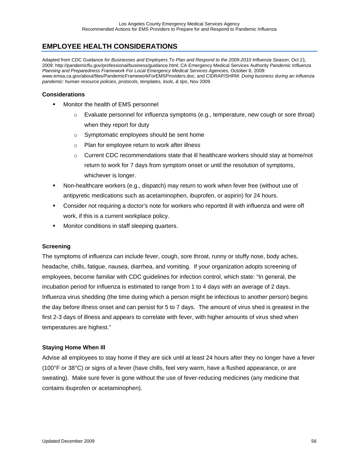## **EMPLOYEE HEALTH CONSIDERATIONS**

Adapted from CDC Guidance *for Businesses and Employers To Plan and Respond to the 2009-2010 Influenza Season*, Oct 21, 2009: http://pandemicflu.gov/professional/business/guidance.html; CA Emergency Medical Services Authority *Pandemic Influenza Planning and Preparedness Framework For Local Emergency Medical Services Agencies*, October 8, 2009: www.emsa.ca.gov/about/files/PandemicFrameworkForEMSProviders.doc; and CIDRAP/SHRM: *Doing business during an influenza pandemic: human resource policies, protocols, templates, tools, & tips*, Nov 2009.

#### **Considerations**

- **Monitor the health of EMS personnel** 
	- $\circ$  Evaluate personnel for influenza symptoms (e.g., temperature, new cough or sore throat) when they report for duty
	- o Symptomatic employees should be sent home
	- o Plan for employee return to work after illness
	- $\circ$  Current CDC recommendations state that ill healthcare workers should stay at home/not return to work for 7 days from symptom onset or until the resolution of symptoms, whichever is longer.
- Non-healthcare workers (e.g., dispatch) may return to work when fever free (without use of antipyretic medications such as acetaminophen, ibuprofen, or aspirin) for 24 hours.
- Consider not requiring a doctor's note for workers who reported ill with influenza and were off work, if this is a current workplace policy.
- **Monitor conditions in staff sleeping quarters.**

### **Screening**

The symptoms of influenza can include fever, cough, sore throat, runny or stuffy nose, body aches, headache, chills, fatigue, nausea, diarrhea, and vomiting. If your organization adopts screening of employees, become familiar with CDC guidelines for infection control, which state: "In general, the incubation period for influenza is estimated to range from 1 to 4 days with an average of 2 days. Influenza virus shedding (the time during which a person might be infectious to another person) begins the day before illness onset and can persist for 5 to 7 days. The amount of virus shed is greatest in the first 2-3 days of illness and appears to correlate with fever, with higher amounts of virus shed when temperatures are highest."

#### **Staying Home When Ill**

Advise all employees to stay home if they are sick until at least 24 hours after they no longer have a fever (100°F or 38°C) or signs of a fever (have chills, feel very warm, have a flushed appearance, or are sweating). Make sure fever is gone without the use of fever-reducing medicines (any medicine that contains ibuprofen or acetaminophen).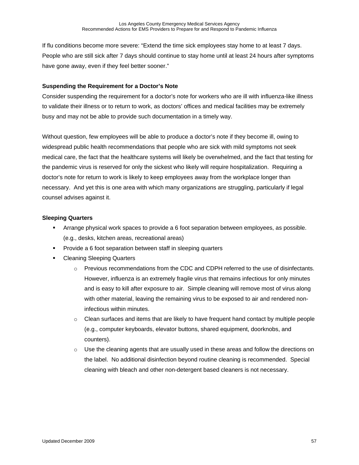If flu conditions become more severe: "Extend the time sick employees stay home to at least 7 days. People who are still sick after 7 days should continue to stay home until at least 24 hours after symptoms have gone away, even if they feel better sooner."

#### **Suspending the Requirement for a Doctor's Note**

Consider suspending the requirement for a doctor's note for workers who are ill with influenza-like illness to validate their illness or to return to work, as doctors' offices and medical facilities may be extremely busy and may not be able to provide such documentation in a timely way.

Without question, few employees will be able to produce a doctor's note if they become ill, owing to widespread public health recommendations that people who are sick with mild symptoms not seek medical care, the fact that the healthcare systems will likely be overwhelmed, and the fact that testing for the pandemic virus is reserved for only the sickest who likely will require hospitalization. Requiring a doctor's note for return to work is likely to keep employees away from the workplace longer than necessary. And yet this is one area with which many organizations are struggling, particularly if legal counsel advises against it.

### **Sleeping Quarters**

- Arrange physical work spaces to provide a 6 foot separation between employees, as possible. (e.g., desks, kitchen areas, recreational areas)
- **Provide a 6 foot separation between staff in sleeping quarters**
- **EXEC** Cleaning Sleeping Quarters
	- $\circ$  Previous recommendations from the CDC and CDPH referred to the use of disinfectants. However, influenza is an extremely fragile virus that remains infectious for only minutes and is easy to kill after exposure to air. Simple cleaning will remove most of virus along with other material, leaving the remaining virus to be exposed to air and rendered noninfectious within minutes.
	- $\circ$  Clean surfaces and items that are likely to have frequent hand contact by multiple people (e.g., computer keyboards, elevator buttons, shared equipment, doorknobs, and counters).
	- $\circ$  Use the cleaning agents that are usually used in these areas and follow the directions on the label. No additional disinfection beyond routine cleaning is recommended. Special cleaning with bleach and other non-detergent based cleaners is not necessary.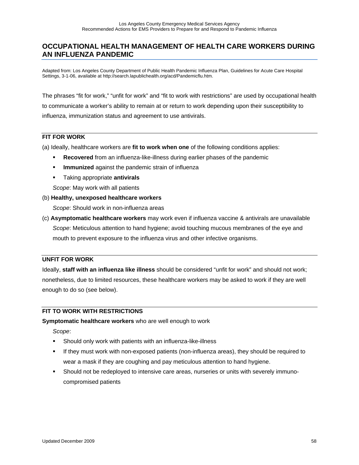### **OCCUPATIONAL HEALTH MANAGEMENT OF HEALTH CARE WORKERS DURING AN INFLUENZA PANDEMIC**

Adapted from: Los Angeles County Department of Public Health Pandemic Influenza Plan, Guidelines for Acute Care Hospital Settings, 3-1-06, available at http://search.lapublichealth.org/acd/Pandemicflu.htm.

The phrases "fit for work," "unfit for work" and "fit to work with restrictions" are used by occupational health to communicate a worker's ability to remain at or return to work depending upon their susceptibility to influenza, immunization status and agreement to use antivirals.

### **FIT FOR WORK**

(a) Ideally, healthcare workers are **fit to work when one** of the following conditions applies:

- **Recovered** from an influenza-like-illness during earlier phases of the pandemic
- **Immunized** against the pandemic strain of influenza
- Taking appropriate **antivirals**

*Scope*: May work with all patients

#### (b) **Healthy, unexposed healthcare workers**

*Scope*: Should work in non-influenza areas

(c) **Asymptomatic healthcare workers** may work even if influenza vaccine & antivirals are unavailable *Scope*: Meticulous attention to hand hygiene; avoid touching mucous membranes of the eye and mouth to prevent exposure to the influenza virus and other infective organisms.

#### **UNFIT FOR WORK**

Ideally, **staff with an influenza like illness** should be considered "unfit for work" and should not work; nonetheless, due to limited resources, these healthcare workers may be asked to work if they are well enough to do so (see below).

### **FIT TO WORK WITH RESTRICTIONS**

#### **Symptomatic healthcare workers** who are well enough to work

*Scope*:

- Should only work with patients with an influenza-like-illness
- If they must work with non-exposed patients (non-influenza areas), they should be required to wear a mask if they are coughing and pay meticulous attention to hand hygiene.
- Should not be redeployed to intensive care areas, nurseries or units with severely immunocompromised patients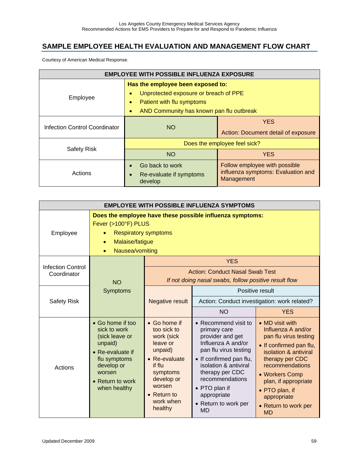# **SAMPLE EMPLOYEE HEALTH EVALUATION AND MANAGEMENT FLOW CHART**

Courtesy of American Medical Response.

| <b>EMPLOYEE WITH POSSIBLE INFLUENZA EXPOSURE</b> |                                                                                                                                                                                            |                                                                                   |  |  |
|--------------------------------------------------|--------------------------------------------------------------------------------------------------------------------------------------------------------------------------------------------|-----------------------------------------------------------------------------------|--|--|
| Employee                                         | Has the employee been exposed to:<br>Unprotected exposure or breach of PPE<br>$\bullet$<br>Patient with flu symptoms<br>$\bullet$<br>AND Community has known pan flu outbreak<br>$\bullet$ |                                                                                   |  |  |
| Infection Control Coordinator                    | <b>NO</b>                                                                                                                                                                                  | <b>YES</b><br>Action: Document detail of exposure                                 |  |  |
| <b>Safety Risk</b>                               | Does the employee feel sick?                                                                                                                                                               |                                                                                   |  |  |
|                                                  | <b>NO</b>                                                                                                                                                                                  | <b>YES</b>                                                                        |  |  |
| Actions                                          | Go back to work<br>$\bullet$<br>Re-evaluate if symptoms<br>$\bullet$<br>develop                                                                                                            | Follow employee with possible<br>influenza symptoms: Evaluation and<br>Management |  |  |

| <b>EMPLOYEE WITH POSSIBLE INFLUENZA SYMPTOMS</b>                                                                                                                                            |                                                                                                                                                               |                                                                                                                                                                                |                                                                                                                                                                                                                                                                        |                                                                                                                                                                                                                                                                          |  |
|---------------------------------------------------------------------------------------------------------------------------------------------------------------------------------------------|---------------------------------------------------------------------------------------------------------------------------------------------------------------|--------------------------------------------------------------------------------------------------------------------------------------------------------------------------------|------------------------------------------------------------------------------------------------------------------------------------------------------------------------------------------------------------------------------------------------------------------------|--------------------------------------------------------------------------------------------------------------------------------------------------------------------------------------------------------------------------------------------------------------------------|--|
| Does the employee have these possible influenza symptoms:<br>Fever (>100°F) PLUS<br>Employee<br><b>Respiratory symptoms</b><br>Malaise/fatigue<br>$\bullet$<br>Nausea/vomiting<br>$\bullet$ |                                                                                                                                                               |                                                                                                                                                                                |                                                                                                                                                                                                                                                                        |                                                                                                                                                                                                                                                                          |  |
| <b>Infection Control</b><br>Coordinator                                                                                                                                                     | <b>NO</b>                                                                                                                                                     |                                                                                                                                                                                | <b>YES</b><br><b>Action: Conduct Nasal Swab Test</b><br>If not doing nasal swabs, follow positive result flow                                                                                                                                                          |                                                                                                                                                                                                                                                                          |  |
| <b>Safety Risk</b>                                                                                                                                                                          | <b>Symptoms</b>                                                                                                                                               | <b>Negative result</b>                                                                                                                                                         | Positive result<br>Action: Conduct investigation: work related?<br><b>NO</b><br><b>YES</b>                                                                                                                                                                             |                                                                                                                                                                                                                                                                          |  |
| Actions                                                                                                                                                                                     | • Go home if too<br>sick to work<br>(sick leave or<br>unpaid)<br>• Re-evaluate if<br>flu symptoms<br>develop or<br>worsen<br>• Return to work<br>when healthy | • Go home if<br>too sick to<br>work (sick<br>leave or<br>unpaid)<br>• Re-evaluate<br>if flu<br>symptoms<br>develop or<br>worsen<br>$\bullet$ Return to<br>work when<br>healthy | • Recommend visit to<br>primary care<br>provider and get<br>Influenza A and/or<br>pan flu virus testing<br>• If confirmed pan flu,<br>isolation & antiviral<br>therapy per CDC<br>recommendations<br>• PTO plan if<br>appropriate<br>• Return to work per<br><b>MD</b> | • MD visit with<br>Influenza A and/or<br>pan flu virus testing<br>• If confirmed pan flu,<br>isolation & antiviral<br>therapy per CDC<br>recommendations<br>• Workers Comp<br>plan, if appropriate<br>• PTO plan, if<br>appropriate<br>• Return to work per<br><b>MD</b> |  |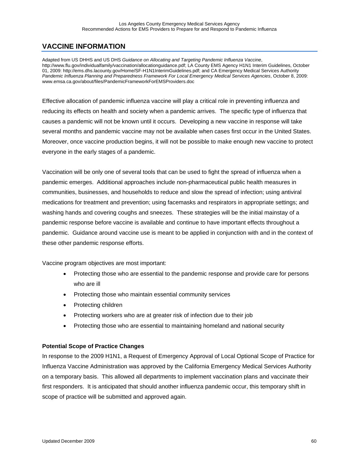# **VACCINE INFORMATION**

Adapted from US DHHS and US DHS *Guidance on Allocating and Targeting Pandemic Influenza Vaccine*, http://www.flu.gov/individualfamily/vaccination/allocationguidance.pdf; LA County EMS Agency H1N1 Interim Guidelines, October 01, 2009: http://ems.dhs.lacounty.gov/Home/SF-H1N1InterimGuidelines.pdf; and CA Emergency Medical Services Authority *Pandemic Influenza Planning and Preparedness Framework For Local Emergency Medical Services Agencies*, October 8, 2009: www.emsa.ca.gov/about/files/PandemicFrameworkForEMSProviders.doc

Effective allocation of pandemic influenza vaccine will play a critical role in preventing influenza and reducing its effects on health and society when a pandemic arrives. The specific type of influenza that causes a pandemic will not be known until it occurs. Developing a new vaccine in response will take several months and pandemic vaccine may not be available when cases first occur in the United States. Moreover, once vaccine production begins, it will not be possible to make enough new vaccine to protect everyone in the early stages of a pandemic.

Vaccination will be only one of several tools that can be used to fight the spread of influenza when a pandemic emerges. Additional approaches include non-pharmaceutical public health measures in communities, businesses, and households to reduce and slow the spread of infection; using antiviral medications for treatment and prevention; using facemasks and respirators in appropriate settings; and washing hands and covering coughs and sneezes. These strategies will be the initial mainstay of a pandemic response before vaccine is available and continue to have important effects throughout a pandemic. Guidance around vaccine use is meant to be applied in conjunction with and in the context of these other pandemic response efforts.

Vaccine program objectives are most important:

- Protecting those who are essential to the pandemic response and provide care for persons who are ill
- Protecting those who maintain essential community services
- Protecting children
- Protecting workers who are at greater risk of infection due to their job
- Protecting those who are essential to maintaining homeland and national security

### **Potential Scope of Practice Changes**

In response to the 2009 H1N1, a Request of Emergency Approval of Local Optional Scope of Practice for Influenza Vaccine Administration was approved by the California Emergency Medical Services Authority on a temporary basis. This allowed all departments to implement vaccination plans and vaccinate their first responders. It is anticipated that should another influenza pandemic occur, this temporary shift in scope of practice will be submitted and approved again.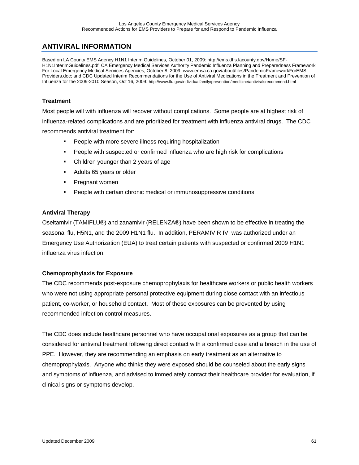## **ANTIVIRAL INFORMATION**

Based on LA County EMS Agency H1N1 Interim Guidelines, October 01, 2009: http://ems.dhs.lacounty.gov/Home/SF-H1N1InterimGuidelines.pdf; CA Emergency Medical Services Authority Pandemic Influenza Planning and Preparedness Framework For Local Emergency Medical Services Agencies, October 8, 2009: www.emsa.ca.gov/about/files/PandemicFrameworkForEMS Providers.doc; and CDC Updated Interim Recommendations for the Use of Antiviral Medications in the Treatment and Prevention of Influenza for the 2009-2010 Season, Oct 16, 2009: http://www.flu.gov/individualfamily/prevention/medicine/antiviralsrecommend.html

### **Treatment**

Most people will with influenza will recover without complications. Some people are at highest risk of influenza-related complications and are prioritized for treatment with influenza antiviral drugs. The CDC recommends antiviral treatment for:

- **People with more severe illness requiring hospitalization**
- People with suspected or confirmed influenza who are high risk for complications
- Children younger than 2 years of age
- Adults 65 years or older
- **Pregnant women**
- People with certain chronic medical or immunosuppressive conditions

#### **Antiviral Therapy**

Oseltamivir (TAMIFLU®) and zanamivir (RELENZA®) have been shown to be effective in treating the seasonal flu, H5N1, and the 2009 H1N1 flu. In addition, PERAMIVIR IV, was authorized under an Emergency Use Authorization (EUA) to treat certain patients with suspected or confirmed 2009 H1N1 influenza virus infection.

### **Chemoprophylaxis for Exposure**

The CDC recommends post-exposure chemoprophylaxis for healthcare workers or public health workers who were not using appropriate personal protective equipment during close contact with an infectious patient, co-worker, or household contact. Most of these exposures can be prevented by using recommended infection control measures.

The CDC does include healthcare personnel who have occupational exposures as a group that can be considered for antiviral treatment following direct contact with a confirmed case and a breach in the use of PPE. However, they are recommending an emphasis on early treatment as an alternative to chemoprophylaxis. Anyone who thinks they were exposed should be counseled about the early signs and symptoms of influenza, and advised to immediately contact their healthcare provider for evaluation, if clinical signs or symptoms develop.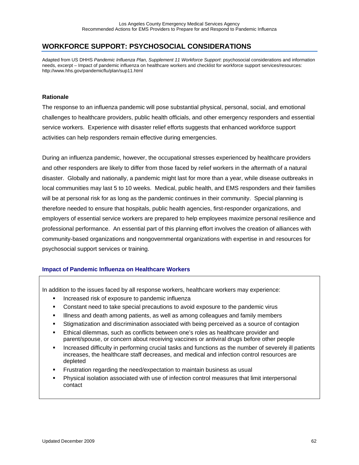### **WORKFORCE SUPPORT: PSYCHOSOCIAL CONSIDERATIONS**

Adapted from US DHHS *Pandemic Influenza Plan, Supplement 11 Workforce Support*: psychosocial considerations and information needs, excerpt – Impact of pandemic influenza on healthcare workers and checklist for workforce support services/resources: http://www.hhs.gov/pandemicflu/plan/sup11.html

#### **Rationale**

The response to an influenza pandemic will pose substantial physical, personal, social, and emotional challenges to healthcare providers, public health officials, and other emergency responders and essential service workers. Experience with disaster relief efforts suggests that enhanced workforce support activities can help responders remain effective during emergencies.

During an influenza pandemic, however, the occupational stresses experienced by healthcare providers and other responders are likely to differ from those faced by relief workers in the aftermath of a natural disaster. Globally and nationally, a pandemic might last for more than a year, while disease outbreaks in local communities may last 5 to 10 weeks. Medical, public health, and EMS responders and their families will be at personal risk for as long as the pandemic continues in their community. Special planning is therefore needed to ensure that hospitals, public health agencies, first-responder organizations, and employers of essential service workers are prepared to help employees maximize personal resilience and professional performance. An essential part of this planning effort involves the creation of alliances with community-based organizations and nongovernmental organizations with expertise in and resources for psychosocial support services or training.

### **Impact of Pandemic Influenza on Healthcare Workers**

In addition to the issues faced by all response workers, healthcare workers may experience:

- **Increased risk of exposure to pandemic influenza**
- Constant need to take special precautions to avoid exposure to the pandemic virus
- **Illness and death among patients, as well as among colleagues and family members**
- Stigmatization and discrimination associated with being perceived as a source of contagion
- Ethical dilemmas, such as conflicts between one's roles as healthcare provider and parent/spouse, or concern about receiving vaccines or antiviral drugs before other people
- Increased difficulty in performing crucial tasks and functions as the number of severely ill patients increases, the healthcare staff decreases, and medical and infection control resources are depleted
- Frustration regarding the need/expectation to maintain business as usual
- Physical isolation associated with use of infection control measures that limit interpersonal contact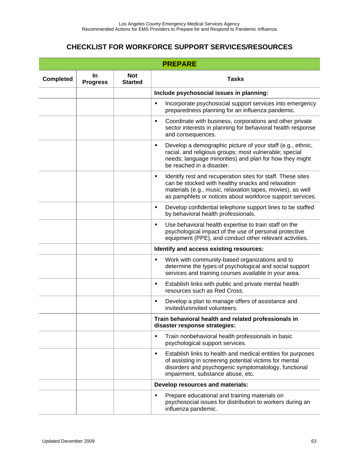# **CHECKLIST FOR WORKFORCE SUPPORT SERVICES/RESOURCES**

| <b>PREPARE</b>                                                                   |  |  |                                                                                                                                                                                                                                                  |  |  |
|----------------------------------------------------------------------------------|--|--|--------------------------------------------------------------------------------------------------------------------------------------------------------------------------------------------------------------------------------------------------|--|--|
| <b>Not</b><br><b>In</b><br><b>Completed</b><br><b>Progress</b><br><b>Started</b> |  |  | <b>Tasks</b>                                                                                                                                                                                                                                     |  |  |
|                                                                                  |  |  | Include psychosocial issues in planning:                                                                                                                                                                                                         |  |  |
|                                                                                  |  |  | Incorporate psychosocial support services into emergency<br>٠<br>preparedness planning for an influenza pandemic.                                                                                                                                |  |  |
|                                                                                  |  |  | Coordinate with business, corporations and other private<br>$\blacksquare$<br>sector interests in planning for behavioral health response<br>and consequences.                                                                                   |  |  |
|                                                                                  |  |  | Develop a demographic picture of your staff (e.g., ethnic,<br>٠<br>racial, and religious groups; most vulnerable; special<br>needs; language minorities) and plan for how they might<br>be reached in a disaster.                                |  |  |
|                                                                                  |  |  | Identify rest and recuperation sites for staff. These sites<br>٠<br>can be stocked with healthy snacks and relaxation<br>materials (e.g., music, relaxation tapes, movies), as well<br>as pamphlets or notices about workforce support services. |  |  |
|                                                                                  |  |  | Develop confidential telephone support lines to be staffed<br>٠<br>by behavioral health professionals.                                                                                                                                           |  |  |
|                                                                                  |  |  | Use behavioral health expertise to train staff on the<br>$\blacksquare$<br>psychological impact of the use of personal protective<br>equipment (PPE), and conduct other relevant activities.                                                     |  |  |
|                                                                                  |  |  | Identify and access existing resources:                                                                                                                                                                                                          |  |  |
|                                                                                  |  |  | Work with community-based organizations and to<br>Ξ<br>determine the types of psychological and social support<br>services and training courses available in your area.                                                                          |  |  |
|                                                                                  |  |  | Establish links with public and private mental health<br>٠<br>resources such as Red Cross.                                                                                                                                                       |  |  |
|                                                                                  |  |  | Develop a plan to manage offers of assistance and<br>٠<br>invited/uninvited volunteers.                                                                                                                                                          |  |  |
|                                                                                  |  |  | Train behavioral health and related professionals in<br>disaster response strategies:                                                                                                                                                            |  |  |
|                                                                                  |  |  | Train nonbehavioral health professionals in basic<br>٠<br>psychological support services.                                                                                                                                                        |  |  |
|                                                                                  |  |  | Establish links to health and medical entities for purposes<br>٠<br>of assisting in screening potential victims for mental<br>disorders and psychogenic symptomatology, functional<br>impairment, substance abuse, etc.                          |  |  |
|                                                                                  |  |  | Develop resources and materials:                                                                                                                                                                                                                 |  |  |
|                                                                                  |  |  | Prepare educational and training materials on<br>٠<br>psychosocial issues for distribution to workers during an<br>influenza pandemic.                                                                                                           |  |  |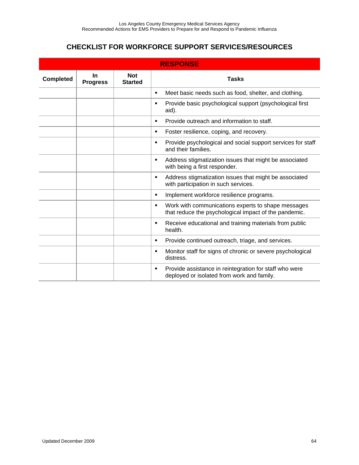# **CHECKLIST FOR WORKFORCE SUPPORT SERVICES/RESOURCES**

| <b>RESPONSE</b>                                                              |  |  |                                                                                                                  |  |  |
|------------------------------------------------------------------------------|--|--|------------------------------------------------------------------------------------------------------------------|--|--|
| <b>Not</b><br>$\ln$<br><b>Completed</b><br><b>Started</b><br><b>Progress</b> |  |  | <b>Tasks</b>                                                                                                     |  |  |
|                                                                              |  |  | Meet basic needs such as food, shelter, and clothing.<br>$\blacksquare$                                          |  |  |
|                                                                              |  |  | Provide basic psychological support (psychological first<br>٠<br>aid).                                           |  |  |
|                                                                              |  |  | Provide outreach and information to staff.<br>٠                                                                  |  |  |
|                                                                              |  |  | Foster resilience, coping, and recovery.<br>٠                                                                    |  |  |
|                                                                              |  |  | Provide psychological and social support services for staff<br>٠<br>and their families.                          |  |  |
|                                                                              |  |  | Address stigmatization issues that might be associated<br>٠<br>with being a first responder.                     |  |  |
|                                                                              |  |  | Address stigmatization issues that might be associated<br>٠<br>with participation in such services.              |  |  |
|                                                                              |  |  | Implement workforce resilience programs.<br>٠                                                                    |  |  |
|                                                                              |  |  | Work with communications experts to shape messages<br>٠<br>that reduce the psychological impact of the pandemic. |  |  |
|                                                                              |  |  | Receive educational and training materials from public<br>٠<br>health.                                           |  |  |
|                                                                              |  |  | Provide continued outreach, triage, and services.<br>٠                                                           |  |  |
|                                                                              |  |  | Monitor staff for signs of chronic or severe psychological<br>٠<br>distress.                                     |  |  |
|                                                                              |  |  | Provide assistance in reintegration for staff who were<br>٠<br>deployed or isolated from work and family.        |  |  |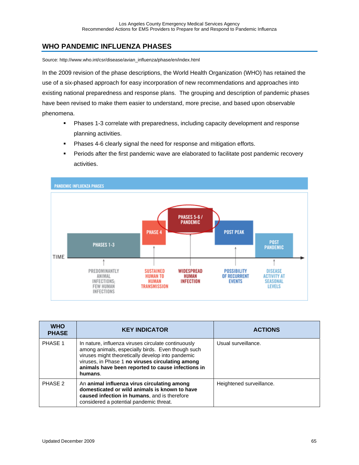## **WHO PANDEMIC INFLUENZA PHASES**

Source: http://www.who.int/csr/disease/avian\_influenza/phase/en/index.html

In the 2009 revision of the phase descriptions, the World Health Organization (WHO) has retained the use of a six-phased approach for easy incorporation of new recommendations and approaches into existing national preparedness and response plans. The grouping and description of pandemic phases have been revised to make them easier to understand, more precise, and based upon observable phenomena.

- Phases 1-3 correlate with preparedness, including capacity development and response planning activities.
- **Phases 4-6 clearly signal the need for response and mitigation efforts.**
- **Periods after the first pandemic wave are elaborated to facilitate post pandemic recovery** activities.



| <b>WHO</b><br><b>PHASE</b> | <b>KEY INDICATOR</b>                                                                                                                                                                                                                                                              | <b>ACTIONS</b>           |
|----------------------------|-----------------------------------------------------------------------------------------------------------------------------------------------------------------------------------------------------------------------------------------------------------------------------------|--------------------------|
| PHASE 1                    | In nature, influenza viruses circulate continuously<br>among animals, especially birds. Even though such<br>viruses might theoretically develop into pandemic<br>viruses, in Phase 1 no viruses circulating among<br>animals have been reported to cause infections in<br>humans. | Usual surveillance.      |
| PHASE 2                    | An animal influenza virus circulating among<br>domesticated or wild animals is known to have<br>caused infection in humans, and is therefore<br>considered a potential pandemic threat.                                                                                           | Heightened surveillance. |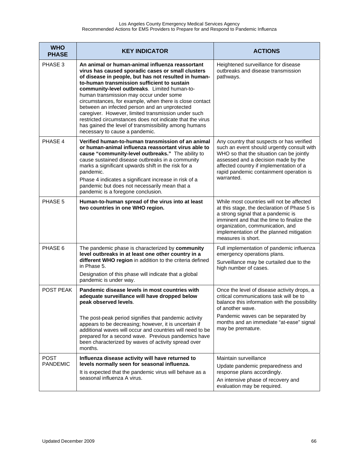| <b>WHO</b><br><b>PHASE</b>     | <b>KEY INDICATOR</b>                                                                                                                                                                                                                                                                                                                                                                                                                                                                                                                                                                                                              | <b>ACTIONS</b>                                                                                                                                                                                                                                                                      |  |
|--------------------------------|-----------------------------------------------------------------------------------------------------------------------------------------------------------------------------------------------------------------------------------------------------------------------------------------------------------------------------------------------------------------------------------------------------------------------------------------------------------------------------------------------------------------------------------------------------------------------------------------------------------------------------------|-------------------------------------------------------------------------------------------------------------------------------------------------------------------------------------------------------------------------------------------------------------------------------------|--|
| PHASE 3                        | An animal or human-animal influenza reassortant<br>virus has caused sporadic cases or small clusters<br>of disease in people, but has not resulted in human-<br>to-human transmission sufficient to sustain<br>community-level outbreaks. Limited human-to-<br>human transmission may occur under some<br>circumstances, for example, when there is close contact<br>between an infected person and an unprotected<br>caregiver. However, limited transmission under such<br>restricted circumstances does not indicate that the virus<br>has gained the level of transmissibility among humans<br>necessary to cause a pandemic. | Heightened surveillance for disease<br>outbreaks and disease transmission<br>pathways.                                                                                                                                                                                              |  |
| PHASE 4                        | Verified human-to-human transmission of an animal<br>or human-animal influenza reassortant virus able to<br>cause "community-level outbreaks." The ability to<br>cause sustained disease outbreaks in a community<br>marks a significant upwards shift in the risk for a<br>pandemic.<br>Phase 4 indicates a significant increase in risk of a<br>pandemic but does not necessarily mean that a<br>pandemic is a foregone conclusion.                                                                                                                                                                                             | Any country that suspects or has verified<br>such an event should urgently consult with<br>WHO so that the situation can be jointly<br>assessed and a decision made by the<br>affected country if implementation of a<br>rapid pandemic containment operation is<br>warranted.      |  |
| PHASE 5                        | Human-to-human spread of the virus into at least<br>two countries in one WHO region.                                                                                                                                                                                                                                                                                                                                                                                                                                                                                                                                              | While most countries will not be affected<br>at this stage, the declaration of Phase 5 is<br>a strong signal that a pandemic is<br>imminent and that the time to finalize the<br>organization, communication, and<br>implementation of the planned mitigation<br>measures is short. |  |
| PHASE 6                        | The pandemic phase is characterized by community<br>level outbreaks in at least one other country in a<br>different WHO region in addition to the criteria defined<br>in Phase 5.<br>Designation of this phase will indicate that a global<br>pandemic is under way.                                                                                                                                                                                                                                                                                                                                                              | Full implementation of pandemic influenza<br>emergency operations plans.<br>Surveillance may be curtailed due to the<br>high number of cases.                                                                                                                                       |  |
| POST PEAK                      | Pandemic disease levels in most countries with<br>adequate surveillance will have dropped below<br>peak observed levels.<br>The post-peak period signifies that pandemic activity<br>appears to be decreasing; however, it is uncertain if<br>additional waves will occur and countries will need to be<br>prepared for a second wave. Previous pandemics have<br>been characterized by waves of activity spread over<br>months.                                                                                                                                                                                                  | Once the level of disease activity drops, a<br>critical communications task will be to<br>balance this information with the possibility<br>of another wave.<br>Pandemic waves can be separated by<br>months and an immediate "at-ease" signal<br>may be premature.                  |  |
| <b>POST</b><br><b>PANDEMIC</b> | Influenza disease activity will have returned to<br>levels normally seen for seasonal influenza.<br>It is expected that the pandemic virus will behave as a<br>seasonal influenza A virus.                                                                                                                                                                                                                                                                                                                                                                                                                                        | Maintain surveillance<br>Update pandemic preparedness and<br>response plans accordingly.<br>An intensive phase of recovery and<br>evaluation may be required.                                                                                                                       |  |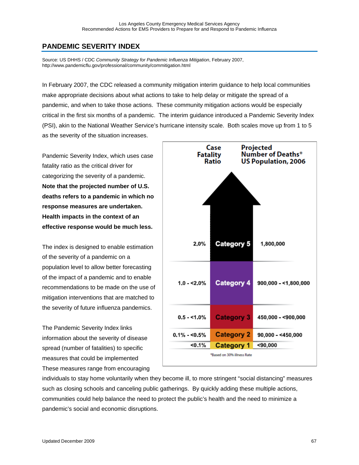## **PANDEMIC SEVERITY INDEX**

Source: US DHHS / CDC *Community Strategy for Pandemic Influenza Mitigation*, February 2007, http://www.pandemicflu.gov/professional/community/commitigation.html

In February 2007, the CDC released a community mitigation interim guidance to help local communities make appropriate decisions about what actions to take to help delay or mitigate the spread of a pandemic, and when to take those actions. These community mitigation actions would be especially critical in the first six months of a pandemic. The interim guidance introduced a Pandemic Severity Index (PSI), akin to the National Weather Service's hurricane intensity scale. Both scales move up from 1 to 5 as the severity of the situation increases.

Pandemic Severity Index, which uses case fatality ratio as the critical driver for categorizing the severity of a pandemic. **Note that the projected number of U.S. deaths refers to a pandemic in which no response measures are undertaken. Health impacts in the context of an effective response would be much less.** 

The index is designed to enable estimation of the severity of a pandemic on a population level to allow better forecasting of the impact of a pandemic and to enable recommendations to be made on the use of mitigation interventions that are matched to the severity of future influenza pandemics.

The Pandemic Severity Index links information about the severity of disease spread (number of fatalities) to specific measures that could be implemented These measures range from encouraging



individuals to stay home voluntarily when they become ill, to more stringent "social distancing" measures such as closing schools and canceling public gatherings. By quickly adding these multiple actions, communities could help balance the need to protect the public's health and the need to minimize a pandemic's social and economic disruptions.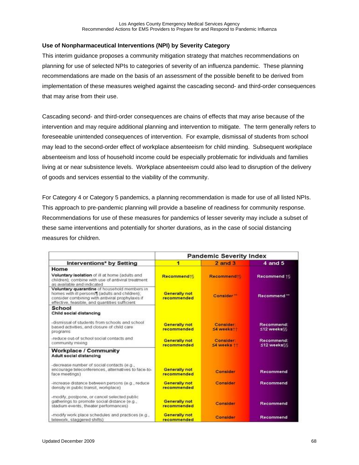### **Use of Nonpharmaceutical Interventions (NPI) by Severity Category**

This interim guidance proposes a community mitigation strategy that matches recommendations on planning for use of selected NPIs to categories of severity of an influenza pandemic. These planning recommendations are made on the basis of an assessment of the possible benefit to be derived from implementation of these measures weighed against the cascading second- and third-order consequences that may arise from their use.

Cascading second- and third-order consequences are chains of effects that may arise because of the intervention and may require additional planning and intervention to mitigate. The term generally refers to foreseeable unintended consequences of intervention. For example, dismissal of students from school may lead to the second-order effect of workplace absenteeism for child minding. Subsequent workplace absenteeism and loss of household income could be especially problematic for individuals and families living at or near subsistence levels. Workplace absenteeism could also lead to disruption of the delivery of goods and services essential to the viability of the community.

For Category 4 or Category 5 pandemics, a planning recommendation is made for use of all listed NPIs. This approach to pre-pandemic planning will provide a baseline of readiness for community response. Recommendations for use of these measures for pandemics of lesser severity may include a subset of these same interventions and potentially for shorter durations, as in the case of social distancing measures for children.

|                                                                                                                                                                                                        | <b>Pandemic Severity Index</b>      |                                |                           |
|--------------------------------------------------------------------------------------------------------------------------------------------------------------------------------------------------------|-------------------------------------|--------------------------------|---------------------------|
| Interventions* by Setting                                                                                                                                                                              | 1                                   | $2$ and $3$                    | 4 and 5                   |
| Home<br>Voluntary isolation of ill at home (adults and<br>children); combine with use of antiviral treatment<br>as available and indicated                                                             | Recommend16                         | <b>Recommend!</b>              | Recommend 16              |
| Voluntary quarantine of household members in<br>homes with ill persons [] (adults and children);<br>consider combining with antiviral prophylaxis if<br>effective, feasible, and quantities sufficient | <b>Generally not</b><br>recommended | Consider <sup>**</sup>         | Recommend <sup>**</sup>   |
| School<br>Child social distancing                                                                                                                                                                      |                                     |                                |                           |
| -dismissal of students from schools and school<br>based activities, and closure of child care<br>programs                                                                                              | <b>Generally not</b><br>recommended | <b>Consider:</b><br>S4 weeks!! | Recommend:<br>≤12 weeks%  |
| -reduce out-of school social contacts and<br>community mixing                                                                                                                                          | <b>Generally not</b><br>recommended | <b>Consider</b><br>S4 weeks 11 | Recommend:<br>≤12 weeks§§ |
| <b>Workplace / Community</b><br><b>Adult social distancing</b>                                                                                                                                         |                                     |                                |                           |
| -decrease number of social contacts (e.g.,<br>encourage teleconferences, alternatives to face-to-<br>face meetings)                                                                                    | <b>Generally not</b><br>recommended | Consider                       | Recommend                 |
| -increase distance between persons (e.g., reduce<br>density in public transit, workplace)                                                                                                              | <b>Generally not</b><br>recommended | <b>Consider</b>                | Recommend                 |
| -modify, postpone, or cancel selected public<br>gatherings to promote social distance (e.g.,<br>stadium events, theater performances).                                                                 | <b>Generally not</b><br>recommended | Consider                       | Recommend                 |
| -modify work place schedules and practices (e.g.,<br>telework, staggered shifts)                                                                                                                       | <b>Generally not</b><br>recommended | <b>Consider</b>                | Recommend                 |